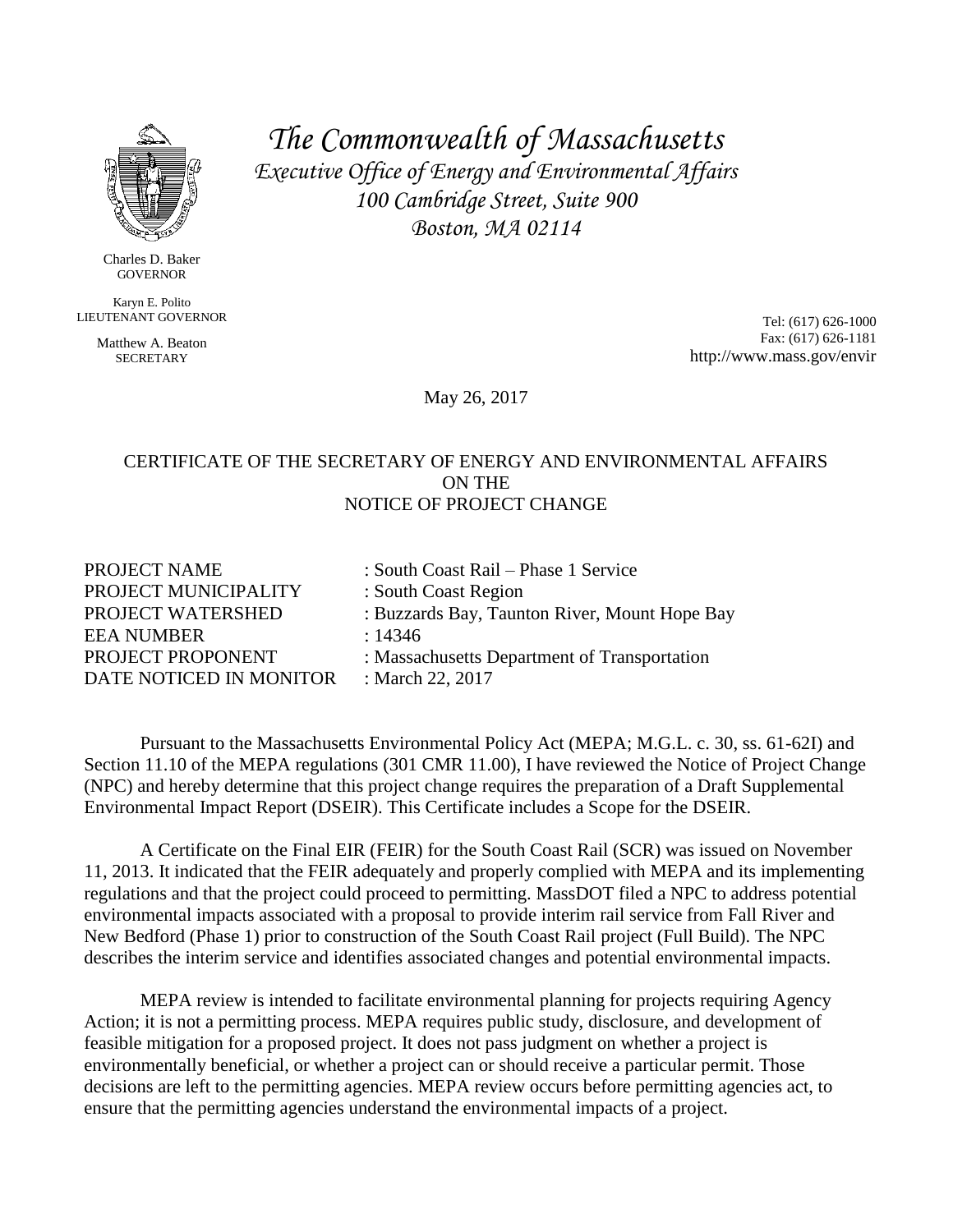

Charles D. Baker GOVERNOR

Karyn E. Polito LIEUTENANT GOVERNOR

> Matthew A. Beaton **SECRETARY**

*The Commonwealth of Massachusetts Executive Office of Energy and Environmental Affairs 100 Cambridge Street, Suite 900 Boston, MA 02114*

> Tel: (617) 626-1000 Fax: (617) 626-1181 http://www.mass.gov/envir

May 26, 2017

### CERTIFICATE OF THE SECRETARY OF ENERGY AND ENVIRONMENTAL AFFAIRS ON THE NOTICE OF PROJECT CHANGE

| PROJECT NAME            | : South Coast Rail – Phase 1 Service          |
|-------------------------|-----------------------------------------------|
| PROJECT MUNICIPALITY    | : South Coast Region                          |
| PROJECT WATERSHED       | : Buzzards Bay, Taunton River, Mount Hope Bay |
| EEA NUMBER              | : 14346                                       |
| PROJECT PROPONENT       | : Massachusetts Department of Transportation  |
| DATE NOTICED IN MONITOR | : March 22, 2017                              |
|                         |                                               |

Pursuant to the Massachusetts Environmental Policy Act (MEPA; M.G.L. c. 30, ss. 61-62I) and Section 11.10 of the MEPA regulations (301 CMR 11.00), I have reviewed the Notice of Project Change (NPC) and hereby determine that this project change requires the preparation of a Draft Supplemental Environmental Impact Report (DSEIR). This Certificate includes a Scope for the DSEIR.

A Certificate on the Final EIR (FEIR) for the South Coast Rail (SCR) was issued on November 11, 2013. It indicated that the FEIR adequately and properly complied with MEPA and its implementing regulations and that the project could proceed to permitting. MassDOT filed a NPC to address potential environmental impacts associated with a proposal to provide interim rail service from Fall River and New Bedford (Phase 1) prior to construction of the South Coast Rail project (Full Build). The NPC describes the interim service and identifies associated changes and potential environmental impacts.

MEPA review is intended to facilitate environmental planning for projects requiring Agency Action; it is not a permitting process. MEPA requires public study, disclosure, and development of feasible mitigation for a proposed project. It does not pass judgment on whether a project is environmentally beneficial, or whether a project can or should receive a particular permit. Those decisions are left to the permitting agencies. MEPA review occurs before permitting agencies act, to ensure that the permitting agencies understand the environmental impacts of a project.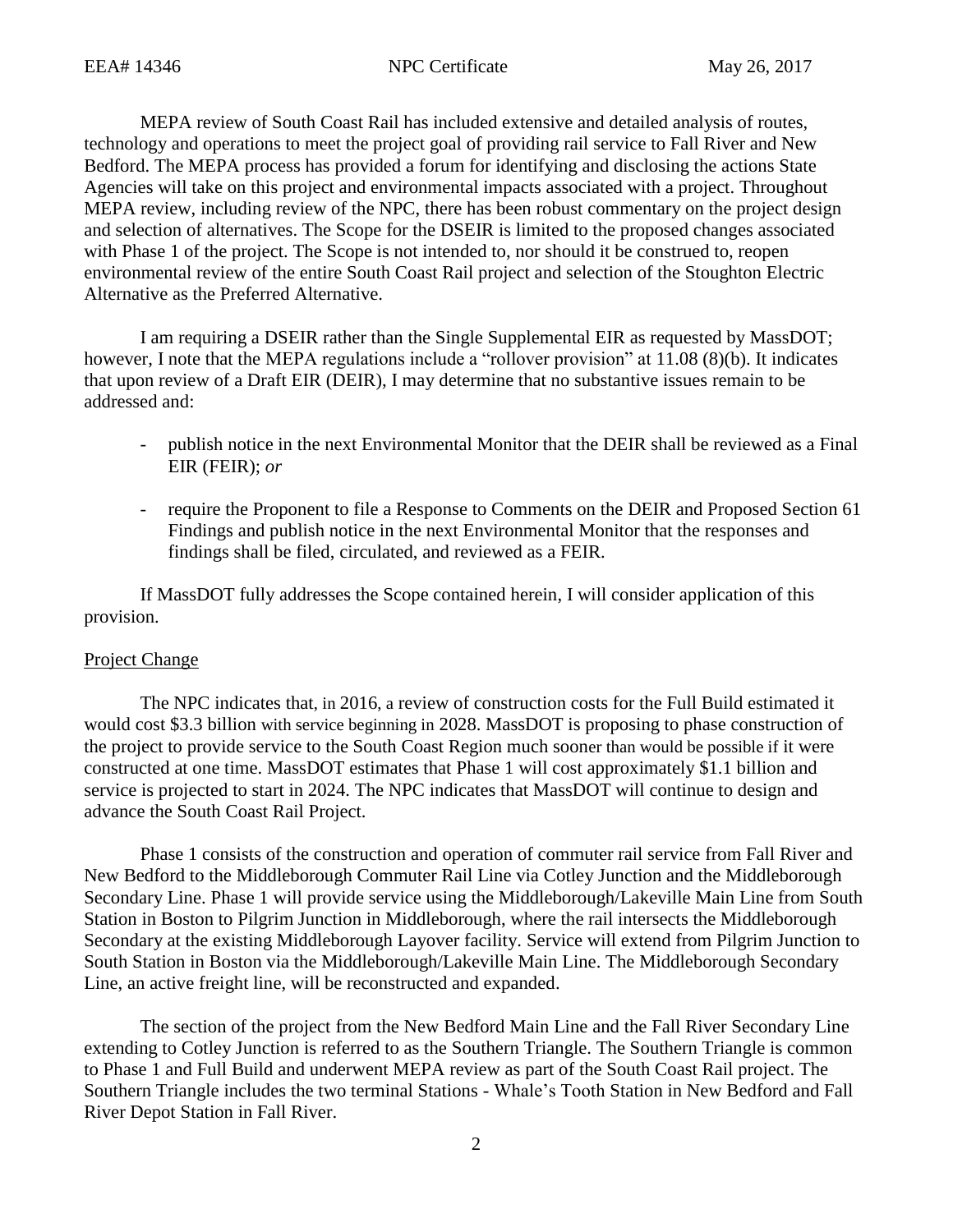MEPA review of South Coast Rail has included extensive and detailed analysis of routes, technology and operations to meet the project goal of providing rail service to Fall River and New Bedford. The MEPA process has provided a forum for identifying and disclosing the actions State Agencies will take on this project and environmental impacts associated with a project. Throughout MEPA review, including review of the NPC, there has been robust commentary on the project design and selection of alternatives. The Scope for the DSEIR is limited to the proposed changes associated with Phase 1 of the project. The Scope is not intended to, nor should it be construed to, reopen environmental review of the entire South Coast Rail project and selection of the Stoughton Electric Alternative as the Preferred Alternative.

I am requiring a DSEIR rather than the Single Supplemental EIR as requested by MassDOT; however, I note that the MEPA regulations include a "rollover provision" at 11.08 (8)(b). It indicates that upon review of a Draft EIR (DEIR), I may determine that no substantive issues remain to be addressed and:

- publish notice in the next Environmental Monitor that the DEIR shall be reviewed as a Final EIR (FEIR); *or*
- require the Proponent to file a Response to Comments on the DEIR and Proposed Section 61 Findings and publish notice in the next Environmental Monitor that the responses and findings shall be filed, circulated, and reviewed as a FEIR.

If MassDOT fully addresses the Scope contained herein, I will consider application of this provision.

## Project Change

The NPC indicates that, in 2016, a review of construction costs for the Full Build estimated it would cost \$3.3 billion with service beginning in 2028. MassDOT is proposing to phase construction of the project to provide service to the South Coast Region much sooner than would be possible if it were constructed at one time. MassDOT estimates that Phase 1 will cost approximately \$1.1 billion and service is projected to start in 2024. The NPC indicates that MassDOT will continue to design and advance the South Coast Rail Project.

Phase 1 consists of the construction and operation of commuter rail service from Fall River and New Bedford to the Middleborough Commuter Rail Line via Cotley Junction and the Middleborough Secondary Line. Phase 1 will provide service using the Middleborough/Lakeville Main Line from South Station in Boston to Pilgrim Junction in Middleborough, where the rail intersects the Middleborough Secondary at the existing Middleborough Layover facility. Service will extend from Pilgrim Junction to South Station in Boston via the Middleborough/Lakeville Main Line. The Middleborough Secondary Line, an active freight line, will be reconstructed and expanded.

The section of the project from the New Bedford Main Line and the Fall River Secondary Line extending to Cotley Junction is referred to as the Southern Triangle. The Southern Triangle is common to Phase 1 and Full Build and underwent MEPA review as part of the South Coast Rail project. The Southern Triangle includes the two terminal Stations - Whale's Tooth Station in New Bedford and Fall River Depot Station in Fall River.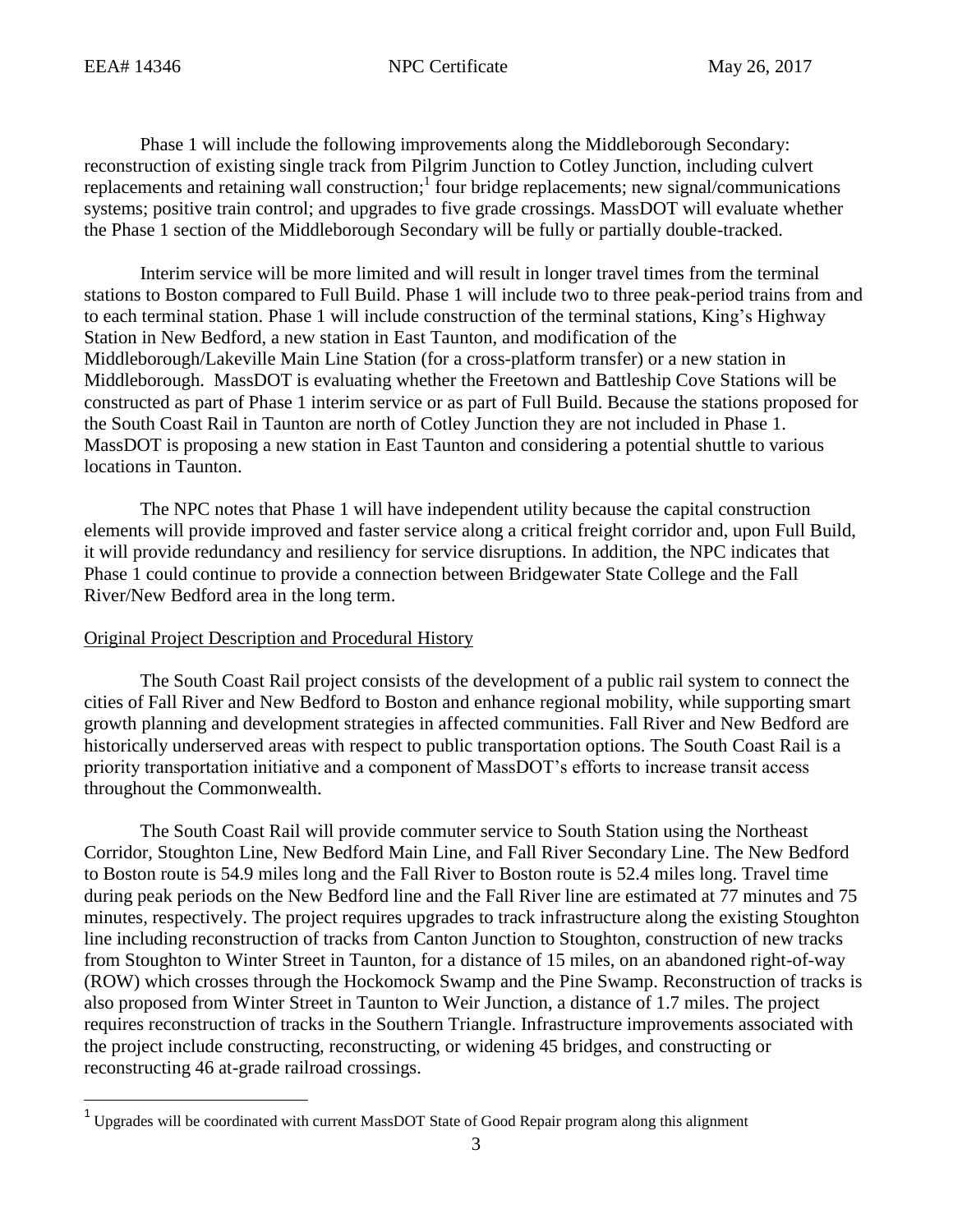$\overline{\phantom{a}}$ 

Phase 1 will include the following improvements along the Middleborough Secondary: reconstruction of existing single track from Pilgrim Junction to Cotley Junction, including culvert replacements and retaining wall construction;<sup>1</sup> four bridge replacements; new signal/communications systems; positive train control; and upgrades to five grade crossings. MassDOT will evaluate whether the Phase 1 section of the Middleborough Secondary will be fully or partially double-tracked.

Interim service will be more limited and will result in longer travel times from the terminal stations to Boston compared to Full Build. Phase 1 will include two to three peak-period trains from and to each terminal station. Phase 1 will include construction of the terminal stations, King's Highway Station in New Bedford, a new station in East Taunton, and modification of the Middleborough/Lakeville Main Line Station (for a cross-platform transfer) or a new station in Middleborough. MassDOT is evaluating whether the Freetown and Battleship Cove Stations will be constructed as part of Phase 1 interim service or as part of Full Build. Because the stations proposed for the South Coast Rail in Taunton are north of Cotley Junction they are not included in Phase 1. MassDOT is proposing a new station in East Taunton and considering a potential shuttle to various locations in Taunton.

The NPC notes that Phase 1 will have independent utility because the capital construction elements will provide improved and faster service along a critical freight corridor and, upon Full Build, it will provide redundancy and resiliency for service disruptions. In addition, the NPC indicates that Phase 1 could continue to provide a connection between Bridgewater State College and the Fall River/New Bedford area in the long term.

## Original Project Description and Procedural History

The South Coast Rail project consists of the development of a public rail system to connect the cities of Fall River and New Bedford to Boston and enhance regional mobility, while supporting smart growth planning and development strategies in affected communities. Fall River and New Bedford are historically underserved areas with respect to public transportation options. The South Coast Rail is a priority transportation initiative and a component of MassDOT's efforts to increase transit access throughout the Commonwealth.

The South Coast Rail will provide commuter service to South Station using the Northeast Corridor, Stoughton Line, New Bedford Main Line, and Fall River Secondary Line. The New Bedford to Boston route is 54.9 miles long and the Fall River to Boston route is 52.4 miles long. Travel time during peak periods on the New Bedford line and the Fall River line are estimated at 77 minutes and 75 minutes, respectively. The project requires upgrades to track infrastructure along the existing Stoughton line including reconstruction of tracks from Canton Junction to Stoughton, construction of new tracks from Stoughton to Winter Street in Taunton, for a distance of 15 miles, on an abandoned right-of-way (ROW) which crosses through the Hockomock Swamp and the Pine Swamp. Reconstruction of tracks is also proposed from Winter Street in Taunton to Weir Junction, a distance of 1.7 miles. The project requires reconstruction of tracks in the Southern Triangle. Infrastructure improvements associated with the project include constructing, reconstructing, or widening 45 bridges, and constructing or reconstructing 46 at-grade railroad crossings.

 $1$  Upgrades will be coordinated with current MassDOT State of Good Repair program along this alignment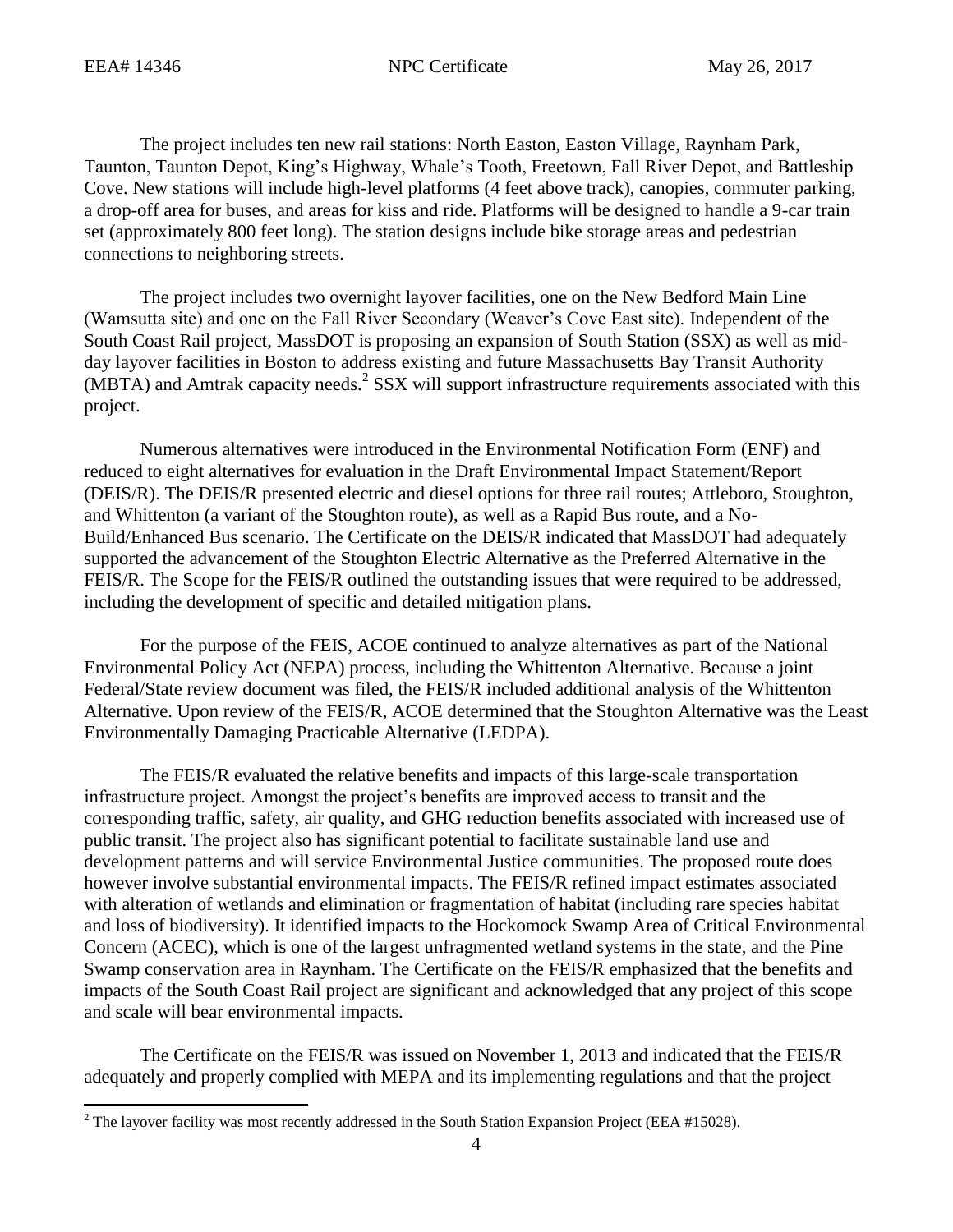$\overline{\phantom{a}}$ 

The project includes ten new rail stations: North Easton, Easton Village, Raynham Park, Taunton, Taunton Depot, King's Highway, Whale's Tooth, Freetown, Fall River Depot, and Battleship Cove. New stations will include high-level platforms (4 feet above track), canopies, commuter parking, a drop-off area for buses, and areas for kiss and ride. Platforms will be designed to handle a 9-car train set (approximately 800 feet long). The station designs include bike storage areas and pedestrian connections to neighboring streets.

The project includes two overnight layover facilities, one on the New Bedford Main Line (Wamsutta site) and one on the Fall River Secondary (Weaver's Cove East site). Independent of the South Coast Rail project, MassDOT is proposing an expansion of South Station (SSX) as well as midday layover facilities in Boston to address existing and future Massachusetts Bay Transit Authority  $(MBTA)$  and Amtrak capacity needs.<sup>2</sup> SSX will support infrastructure requirements associated with this project.

Numerous alternatives were introduced in the Environmental Notification Form (ENF) and reduced to eight alternatives for evaluation in the Draft Environmental Impact Statement/Report (DEIS/R). The DEIS/R presented electric and diesel options for three rail routes; Attleboro, Stoughton, and Whittenton (a variant of the Stoughton route), as well as a Rapid Bus route, and a No-Build/Enhanced Bus scenario. The Certificate on the DEIS/R indicated that MassDOT had adequately supported the advancement of the Stoughton Electric Alternative as the Preferred Alternative in the FEIS/R. The Scope for the FEIS/R outlined the outstanding issues that were required to be addressed, including the development of specific and detailed mitigation plans.

For the purpose of the FEIS, ACOE continued to analyze alternatives as part of the National Environmental Policy Act (NEPA) process, including the Whittenton Alternative. Because a joint Federal/State review document was filed, the FEIS/R included additional analysis of the Whittenton Alternative. Upon review of the FEIS/R, ACOE determined that the Stoughton Alternative was the Least Environmentally Damaging Practicable Alternative (LEDPA).

The FEIS/R evaluated the relative benefits and impacts of this large-scale transportation infrastructure project. Amongst the project's benefits are improved access to transit and the corresponding traffic, safety, air quality, and GHG reduction benefits associated with increased use of public transit. The project also has significant potential to facilitate sustainable land use and development patterns and will service Environmental Justice communities. The proposed route does however involve substantial environmental impacts. The FEIS/R refined impact estimates associated with alteration of wetlands and elimination or fragmentation of habitat (including rare species habitat and loss of biodiversity). It identified impacts to the Hockomock Swamp Area of Critical Environmental Concern (ACEC), which is one of the largest unfragmented wetland systems in the state, and the Pine Swamp conservation area in Raynham. The Certificate on the FEIS/R emphasized that the benefits and impacts of the South Coast Rail project are significant and acknowledged that any project of this scope and scale will bear environmental impacts.

The Certificate on the FEIS/R was issued on November 1, 2013 and indicated that the FEIS/R adequately and properly complied with MEPA and its implementing regulations and that the project

<sup>&</sup>lt;sup>2</sup> The layover facility was most recently addressed in the South Station Expansion Project (EEA #15028).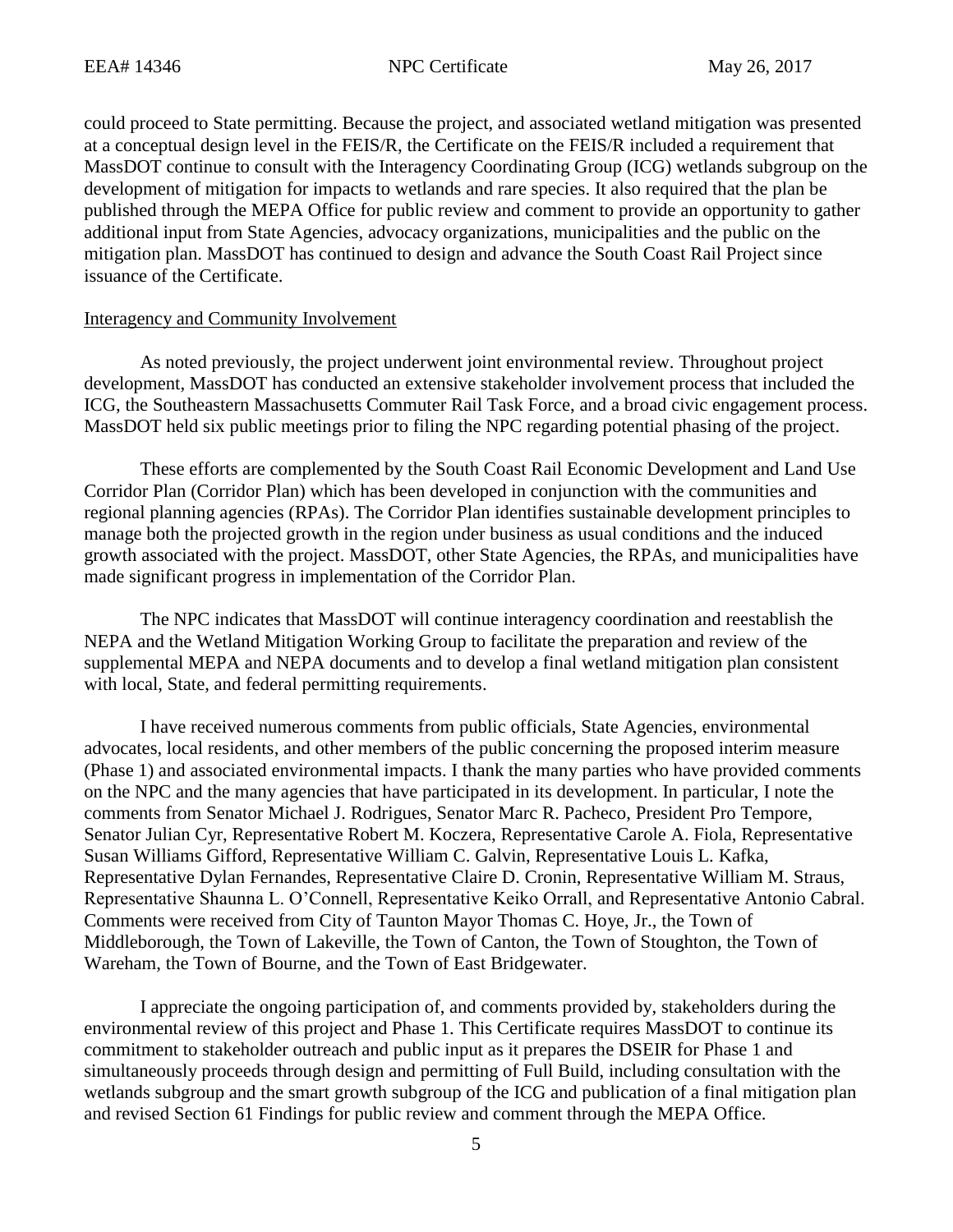could proceed to State permitting. Because the project, and associated wetland mitigation was presented at a conceptual design level in the FEIS/R, the Certificate on the FEIS/R included a requirement that MassDOT continue to consult with the Interagency Coordinating Group (ICG) wetlands subgroup on the development of mitigation for impacts to wetlands and rare species. It also required that the plan be published through the MEPA Office for public review and comment to provide an opportunity to gather additional input from State Agencies, advocacy organizations, municipalities and the public on the mitigation plan. MassDOT has continued to design and advance the South Coast Rail Project since issuance of the Certificate.

### Interagency and Community Involvement

As noted previously, the project underwent joint environmental review. Throughout project development, MassDOT has conducted an extensive stakeholder involvement process that included the ICG, the Southeastern Massachusetts Commuter Rail Task Force, and a broad civic engagement process. MassDOT held six public meetings prior to filing the NPC regarding potential phasing of the project.

These efforts are complemented by the South Coast Rail Economic Development and Land Use Corridor Plan (Corridor Plan) which has been developed in conjunction with the communities and regional planning agencies (RPAs). The Corridor Plan identifies sustainable development principles to manage both the projected growth in the region under business as usual conditions and the induced growth associated with the project. MassDOT, other State Agencies, the RPAs, and municipalities have made significant progress in implementation of the Corridor Plan.

The NPC indicates that MassDOT will continue interagency coordination and reestablish the NEPA and the Wetland Mitigation Working Group to facilitate the preparation and review of the supplemental MEPA and NEPA documents and to develop a final wetland mitigation plan consistent with local, State, and federal permitting requirements.

I have received numerous comments from public officials, State Agencies, environmental advocates, local residents, and other members of the public concerning the proposed interim measure (Phase 1) and associated environmental impacts. I thank the many parties who have provided comments on the NPC and the many agencies that have participated in its development. In particular, I note the comments from Senator Michael J. Rodrigues, Senator Marc R. Pacheco, President Pro Tempore, Senator Julian Cyr, Representative Robert M. Koczera, Representative Carole A. Fiola, Representative Susan Williams Gifford, Representative William C. Galvin, Representative Louis L. Kafka, Representative Dylan Fernandes, Representative Claire D. Cronin, Representative William M. Straus, Representative Shaunna L. O'Connell, Representative Keiko Orrall, and Representative Antonio Cabral. Comments were received from City of Taunton Mayor Thomas C. Hoye, Jr., the Town of Middleborough, the Town of Lakeville, the Town of Canton, the Town of Stoughton, the Town of Wareham, the Town of Bourne, and the Town of East Bridgewater.

I appreciate the ongoing participation of, and comments provided by, stakeholders during the environmental review of this project and Phase 1. This Certificate requires MassDOT to continue its commitment to stakeholder outreach and public input as it prepares the DSEIR for Phase 1 and simultaneously proceeds through design and permitting of Full Build, including consultation with the wetlands subgroup and the smart growth subgroup of the ICG and publication of a final mitigation plan and revised Section 61 Findings for public review and comment through the MEPA Office.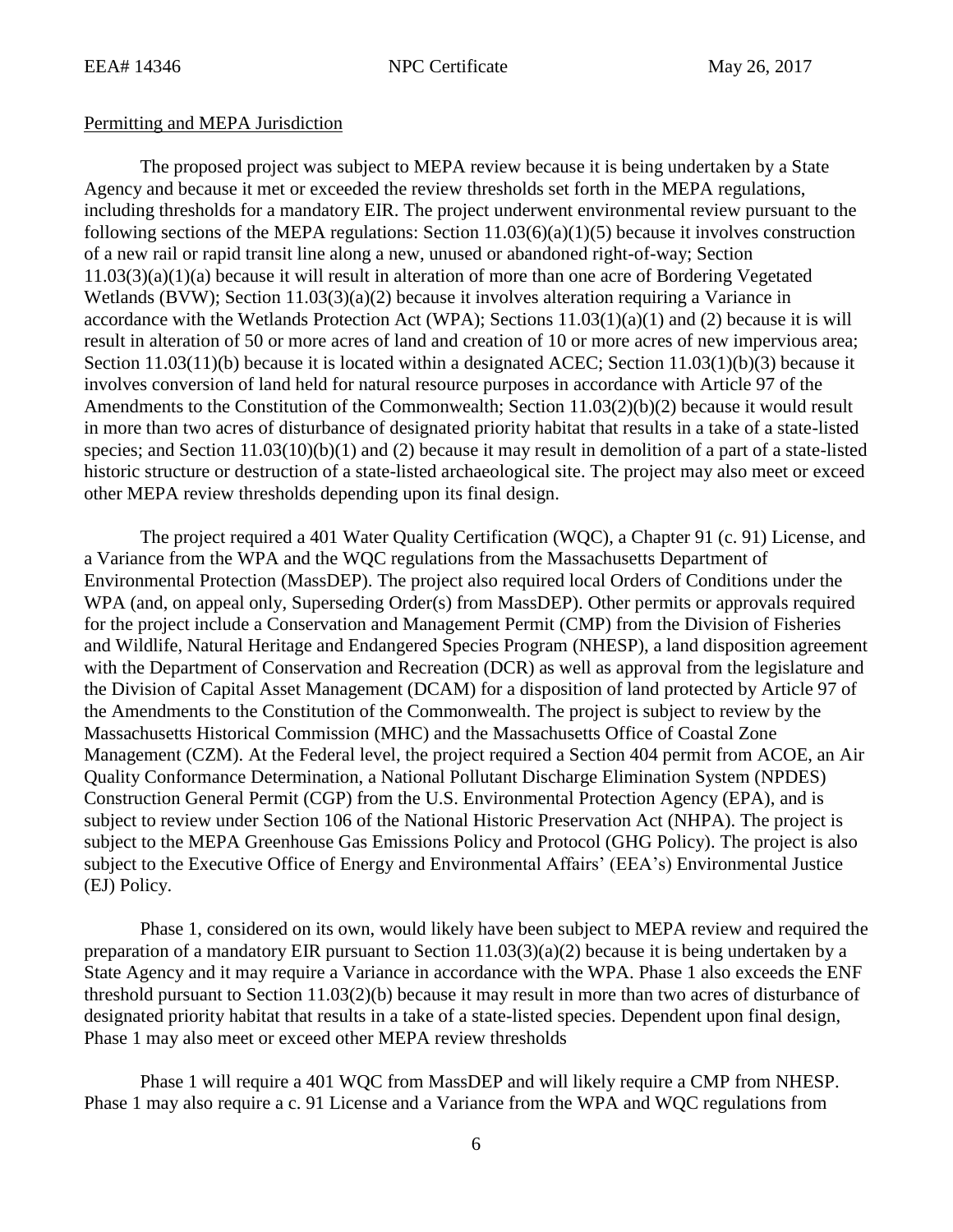### Permitting and MEPA Jurisdiction

The proposed project was subject to MEPA review because it is being undertaken by a State Agency and because it met or exceeded the review thresholds set forth in the MEPA regulations, including thresholds for a mandatory EIR. The project underwent environmental review pursuant to the following sections of the MEPA regulations: Section  $11.03(6)(a)(1)(5)$  because it involves construction of a new rail or rapid transit line along a new, unused or abandoned right-of-way; Section 11.03(3)(a)(1)(a) because it will result in alteration of more than one acre of Bordering Vegetated Wetlands (BVW); Section 11.03(3)(a)(2) because it involves alteration requiring a Variance in accordance with the Wetlands Protection Act (WPA); Sections 11.03(1)(a)(1) and (2) because it is will result in alteration of 50 or more acres of land and creation of 10 or more acres of new impervious area; Section 11.03(11)(b) because it is located within a designated ACEC; Section 11.03(1)(b)(3) because it involves conversion of land held for natural resource purposes in accordance with Article 97 of the Amendments to the Constitution of the Commonwealth; Section 11.03(2)(b)(2) because it would result in more than two acres of disturbance of designated priority habitat that results in a take of a state-listed species; and Section 11.03(10)(b)(1) and (2) because it may result in demolition of a part of a state-listed historic structure or destruction of a state-listed archaeological site. The project may also meet or exceed other MEPA review thresholds depending upon its final design.

The project required a 401 Water Quality Certification (WQC), a Chapter 91 (c. 91) License, and a Variance from the WPA and the WQC regulations from the Massachusetts Department of Environmental Protection (MassDEP). The project also required local Orders of Conditions under the WPA (and, on appeal only, Superseding Order(s) from MassDEP). Other permits or approvals required for the project include a Conservation and Management Permit (CMP) from the Division of Fisheries and Wildlife, Natural Heritage and Endangered Species Program (NHESP), a land disposition agreement with the Department of Conservation and Recreation (DCR) as well as approval from the legislature and the Division of Capital Asset Management (DCAM) for a disposition of land protected by Article 97 of the Amendments to the Constitution of the Commonwealth. The project is subject to review by the Massachusetts Historical Commission (MHC) and the Massachusetts Office of Coastal Zone Management (CZM). At the Federal level, the project required a Section 404 permit from ACOE, an Air Quality Conformance Determination, a National Pollutant Discharge Elimination System (NPDES) Construction General Permit (CGP) from the U.S. Environmental Protection Agency (EPA), and is subject to review under Section 106 of the National Historic Preservation Act (NHPA). The project is subject to the MEPA Greenhouse Gas Emissions Policy and Protocol (GHG Policy). The project is also subject to the Executive Office of Energy and Environmental Affairs' (EEA's) Environmental Justice (EJ) Policy.

Phase 1, considered on its own, would likely have been subject to MEPA review and required the preparation of a mandatory EIR pursuant to Section 11.03(3)(a)(2) because it is being undertaken by a State Agency and it may require a Variance in accordance with the WPA. Phase 1 also exceeds the ENF threshold pursuant to Section 11.03(2)(b) because it may result in more than two acres of disturbance of designated priority habitat that results in a take of a state-listed species. Dependent upon final design, Phase 1 may also meet or exceed other MEPA review thresholds

Phase 1 will require a 401 WQC from MassDEP and will likely require a CMP from NHESP. Phase 1 may also require a c. 91 License and a Variance from the WPA and WQC regulations from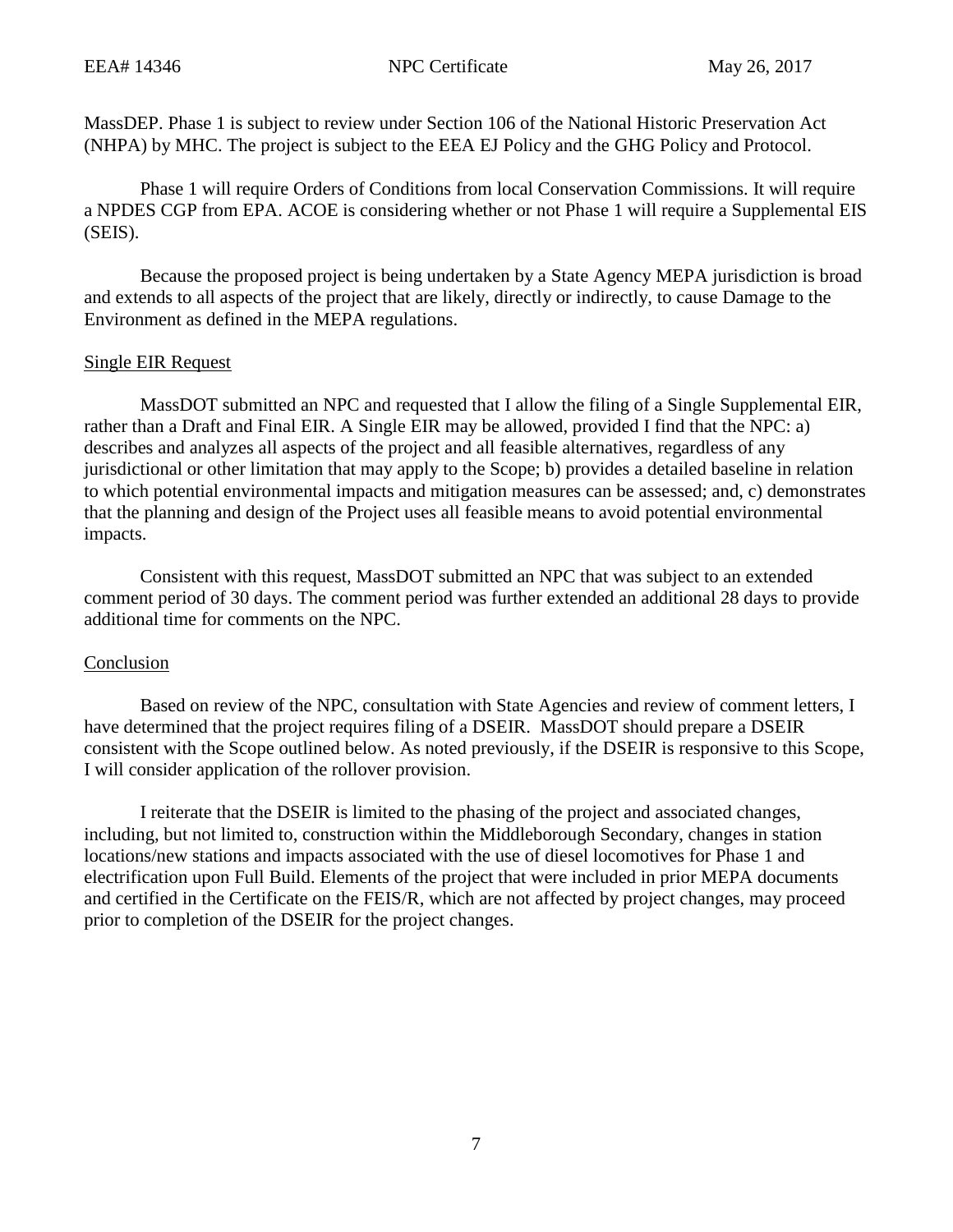MassDEP. Phase 1 is subject to review under Section 106 of the National Historic Preservation Act (NHPA) by MHC. The project is subject to the EEA EJ Policy and the GHG Policy and Protocol.

Phase 1 will require Orders of Conditions from local Conservation Commissions. It will require a NPDES CGP from EPA. ACOE is considering whether or not Phase 1 will require a Supplemental EIS (SEIS).

Because the proposed project is being undertaken by a State Agency MEPA jurisdiction is broad and extends to all aspects of the project that are likely, directly or indirectly, to cause Damage to the Environment as defined in the MEPA regulations.

## Single EIR Request

MassDOT submitted an NPC and requested that I allow the filing of a Single Supplemental EIR, rather than a Draft and Final EIR. A Single EIR may be allowed, provided I find that the NPC: a) describes and analyzes all aspects of the project and all feasible alternatives, regardless of any jurisdictional or other limitation that may apply to the Scope; b) provides a detailed baseline in relation to which potential environmental impacts and mitigation measures can be assessed; and, c) demonstrates that the planning and design of the Project uses all feasible means to avoid potential environmental impacts.

Consistent with this request, MassDOT submitted an NPC that was subject to an extended comment period of 30 days. The comment period was further extended an additional 28 days to provide additional time for comments on the NPC.

## Conclusion

Based on review of the NPC, consultation with State Agencies and review of comment letters, I have determined that the project requires filing of a DSEIR. MassDOT should prepare a DSEIR consistent with the Scope outlined below. As noted previously, if the DSEIR is responsive to this Scope, I will consider application of the rollover provision.

I reiterate that the DSEIR is limited to the phasing of the project and associated changes, including, but not limited to, construction within the Middleborough Secondary, changes in station locations/new stations and impacts associated with the use of diesel locomotives for Phase 1 and electrification upon Full Build. Elements of the project that were included in prior MEPA documents and certified in the Certificate on the FEIS/R, which are not affected by project changes, may proceed prior to completion of the DSEIR for the project changes.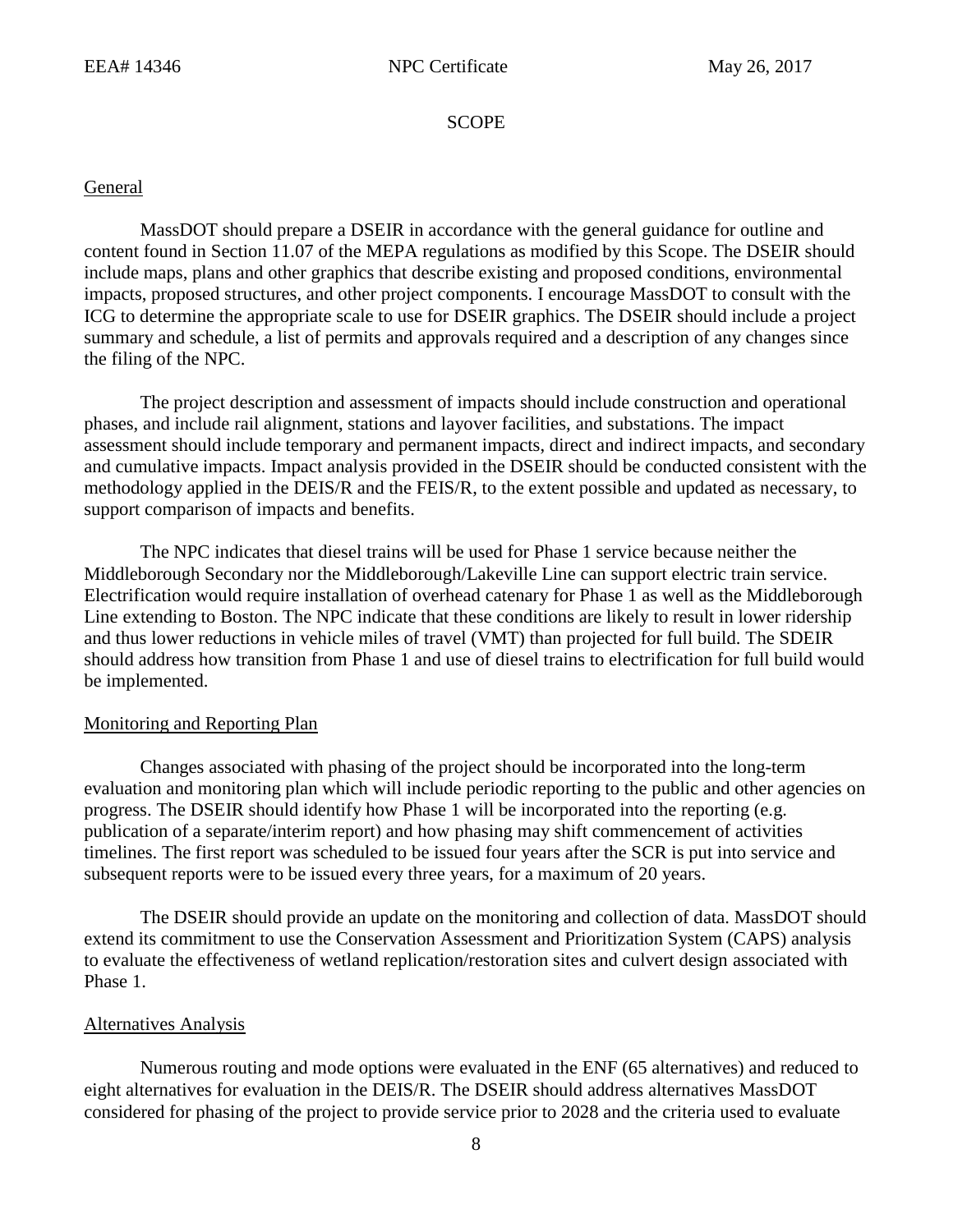**SCOPE** 

### General

MassDOT should prepare a DSEIR in accordance with the general guidance for outline and content found in Section 11.07 of the MEPA regulations as modified by this Scope. The DSEIR should include maps, plans and other graphics that describe existing and proposed conditions, environmental impacts, proposed structures, and other project components. I encourage MassDOT to consult with the ICG to determine the appropriate scale to use for DSEIR graphics. The DSEIR should include a project summary and schedule, a list of permits and approvals required and a description of any changes since the filing of the NPC.

The project description and assessment of impacts should include construction and operational phases, and include rail alignment, stations and layover facilities, and substations. The impact assessment should include temporary and permanent impacts, direct and indirect impacts, and secondary and cumulative impacts. Impact analysis provided in the DSEIR should be conducted consistent with the methodology applied in the DEIS/R and the FEIS/R, to the extent possible and updated as necessary, to support comparison of impacts and benefits.

The NPC indicates that diesel trains will be used for Phase 1 service because neither the Middleborough Secondary nor the Middleborough/Lakeville Line can support electric train service. Electrification would require installation of overhead catenary for Phase 1 as well as the Middleborough Line extending to Boston. The NPC indicate that these conditions are likely to result in lower ridership and thus lower reductions in vehicle miles of travel (VMT) than projected for full build. The SDEIR should address how transition from Phase 1 and use of diesel trains to electrification for full build would be implemented.

### Monitoring and Reporting Plan

Changes associated with phasing of the project should be incorporated into the long-term evaluation and monitoring plan which will include periodic reporting to the public and other agencies on progress. The DSEIR should identify how Phase 1 will be incorporated into the reporting (e.g. publication of a separate/interim report) and how phasing may shift commencement of activities timelines. The first report was scheduled to be issued four years after the SCR is put into service and subsequent reports were to be issued every three years, for a maximum of 20 years.

The DSEIR should provide an update on the monitoring and collection of data. MassDOT should extend its commitment to use the Conservation Assessment and Prioritization System (CAPS) analysis to evaluate the effectiveness of wetland replication/restoration sites and culvert design associated with Phase 1.

### Alternatives Analysis

Numerous routing and mode options were evaluated in the ENF (65 alternatives) and reduced to eight alternatives for evaluation in the DEIS/R. The DSEIR should address alternatives MassDOT considered for phasing of the project to provide service prior to 2028 and the criteria used to evaluate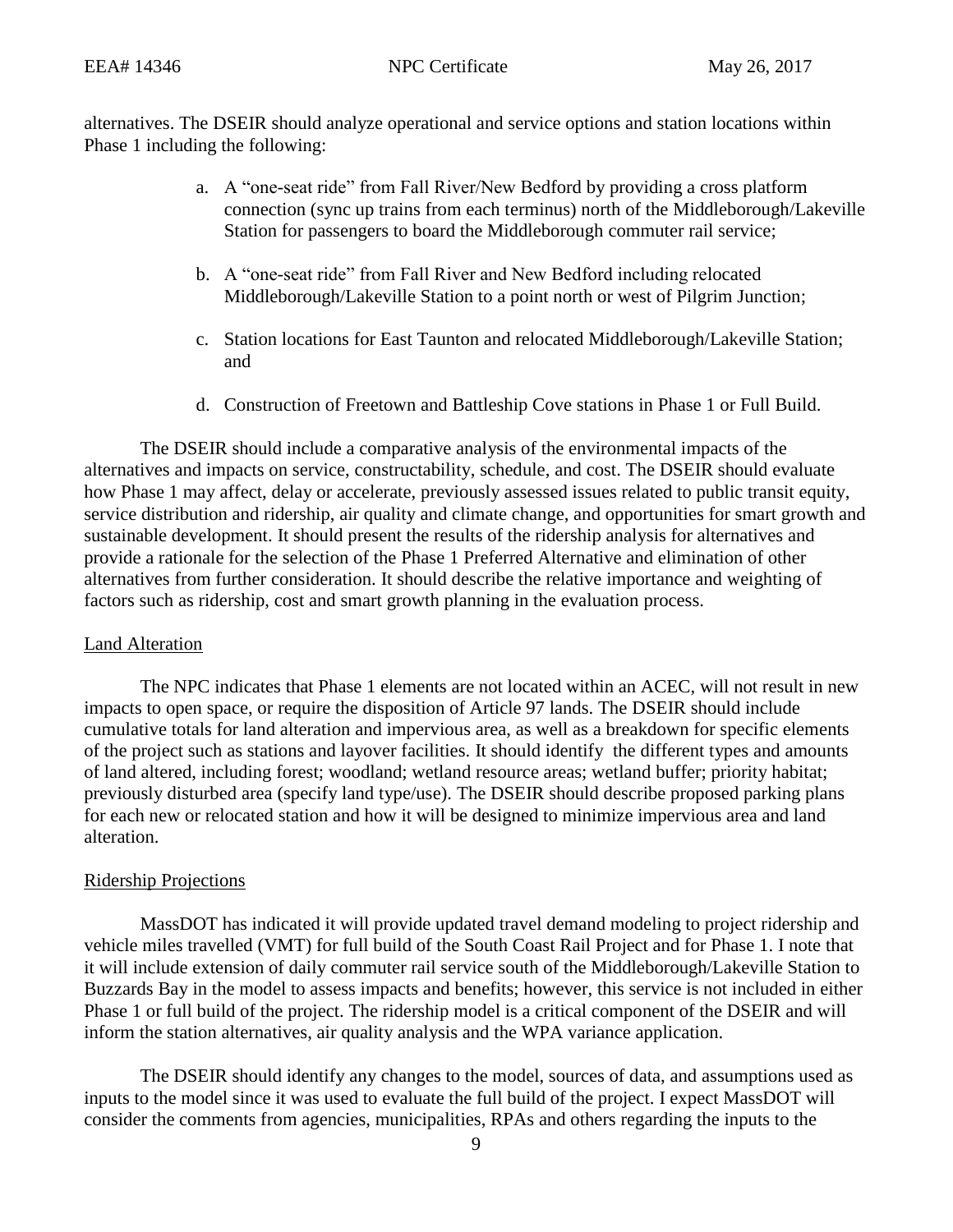alternatives. The DSEIR should analyze operational and service options and station locations within Phase 1 including the following:

- a. A "one-seat ride" from Fall River/New Bedford by providing a cross platform connection (sync up trains from each terminus) north of the Middleborough/Lakeville Station for passengers to board the Middleborough commuter rail service;
- b. A "one-seat ride" from Fall River and New Bedford including relocated Middleborough/Lakeville Station to a point north or west of Pilgrim Junction;
- c. Station locations for East Taunton and relocated Middleborough/Lakeville Station; and
- d. Construction of Freetown and Battleship Cove stations in Phase 1 or Full Build.

The DSEIR should include a comparative analysis of the environmental impacts of the alternatives and impacts on service, constructability, schedule, and cost. The DSEIR should evaluate how Phase 1 may affect, delay or accelerate, previously assessed issues related to public transit equity, service distribution and ridership, air quality and climate change, and opportunities for smart growth and sustainable development. It should present the results of the ridership analysis for alternatives and provide a rationale for the selection of the Phase 1 Preferred Alternative and elimination of other alternatives from further consideration. It should describe the relative importance and weighting of factors such as ridership, cost and smart growth planning in the evaluation process.

### Land Alteration

The NPC indicates that Phase 1 elements are not located within an ACEC, will not result in new impacts to open space, or require the disposition of Article 97 lands. The DSEIR should include cumulative totals for land alteration and impervious area, as well as a breakdown for specific elements of the project such as stations and layover facilities. It should identify the different types and amounts of land altered, including forest; woodland; wetland resource areas; wetland buffer; priority habitat; previously disturbed area (specify land type/use). The DSEIR should describe proposed parking plans for each new or relocated station and how it will be designed to minimize impervious area and land alteration.

### Ridership Projections

MassDOT has indicated it will provide updated travel demand modeling to project ridership and vehicle miles travelled (VMT) for full build of the South Coast Rail Project and for Phase 1. I note that it will include extension of daily commuter rail service south of the Middleborough/Lakeville Station to Buzzards Bay in the model to assess impacts and benefits; however, this service is not included in either Phase 1 or full build of the project. The ridership model is a critical component of the DSEIR and will inform the station alternatives, air quality analysis and the WPA variance application.

The DSEIR should identify any changes to the model, sources of data, and assumptions used as inputs to the model since it was used to evaluate the full build of the project. I expect MassDOT will consider the comments from agencies, municipalities, RPAs and others regarding the inputs to the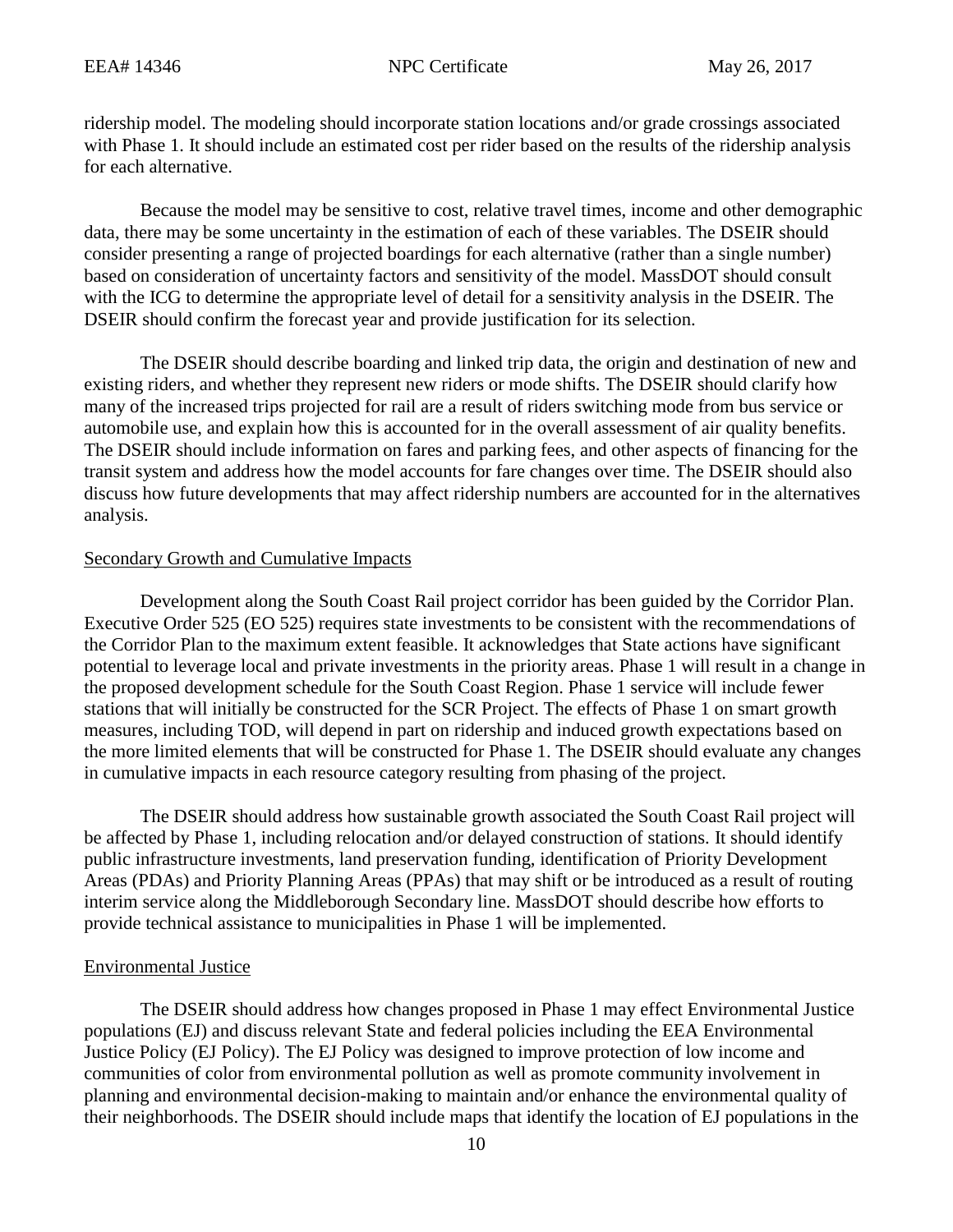ridership model. The modeling should incorporate station locations and/or grade crossings associated with Phase 1. It should include an estimated cost per rider based on the results of the ridership analysis for each alternative.

Because the model may be sensitive to cost, relative travel times, income and other demographic data, there may be some uncertainty in the estimation of each of these variables. The DSEIR should consider presenting a range of projected boardings for each alternative (rather than a single number) based on consideration of uncertainty factors and sensitivity of the model. MassDOT should consult with the ICG to determine the appropriate level of detail for a sensitivity analysis in the DSEIR. The DSEIR should confirm the forecast year and provide justification for its selection.

The DSEIR should describe boarding and linked trip data, the origin and destination of new and existing riders, and whether they represent new riders or mode shifts. The DSEIR should clarify how many of the increased trips projected for rail are a result of riders switching mode from bus service or automobile use, and explain how this is accounted for in the overall assessment of air quality benefits. The DSEIR should include information on fares and parking fees, and other aspects of financing for the transit system and address how the model accounts for fare changes over time. The DSEIR should also discuss how future developments that may affect ridership numbers are accounted for in the alternatives analysis.

### Secondary Growth and Cumulative Impacts

Development along the South Coast Rail project corridor has been guided by the Corridor Plan. Executive Order 525 (EO 525) requires state investments to be consistent with the recommendations of the Corridor Plan to the maximum extent feasible. It acknowledges that State actions have significant potential to leverage local and private investments in the priority areas. Phase 1 will result in a change in the proposed development schedule for the South Coast Region. Phase 1 service will include fewer stations that will initially be constructed for the SCR Project. The effects of Phase 1 on smart growth measures, including TOD, will depend in part on ridership and induced growth expectations based on the more limited elements that will be constructed for Phase 1. The DSEIR should evaluate any changes in cumulative impacts in each resource category resulting from phasing of the project.

The DSEIR should address how sustainable growth associated the South Coast Rail project will be affected by Phase 1, including relocation and/or delayed construction of stations. It should identify public infrastructure investments, land preservation funding, identification of Priority Development Areas (PDAs) and Priority Planning Areas (PPAs) that may shift or be introduced as a result of routing interim service along the Middleborough Secondary line. MassDOT should describe how efforts to provide technical assistance to municipalities in Phase 1 will be implemented.

#### Environmental Justice

The DSEIR should address how changes proposed in Phase 1 may effect Environmental Justice populations (EJ) and discuss relevant State and federal policies including the EEA Environmental Justice Policy (EJ Policy). The EJ Policy was designed to improve protection of low income and communities of color from environmental pollution as well as promote community involvement in planning and environmental decision-making to maintain and/or enhance the environmental quality of their neighborhoods. The DSEIR should include maps that identify the location of EJ populations in the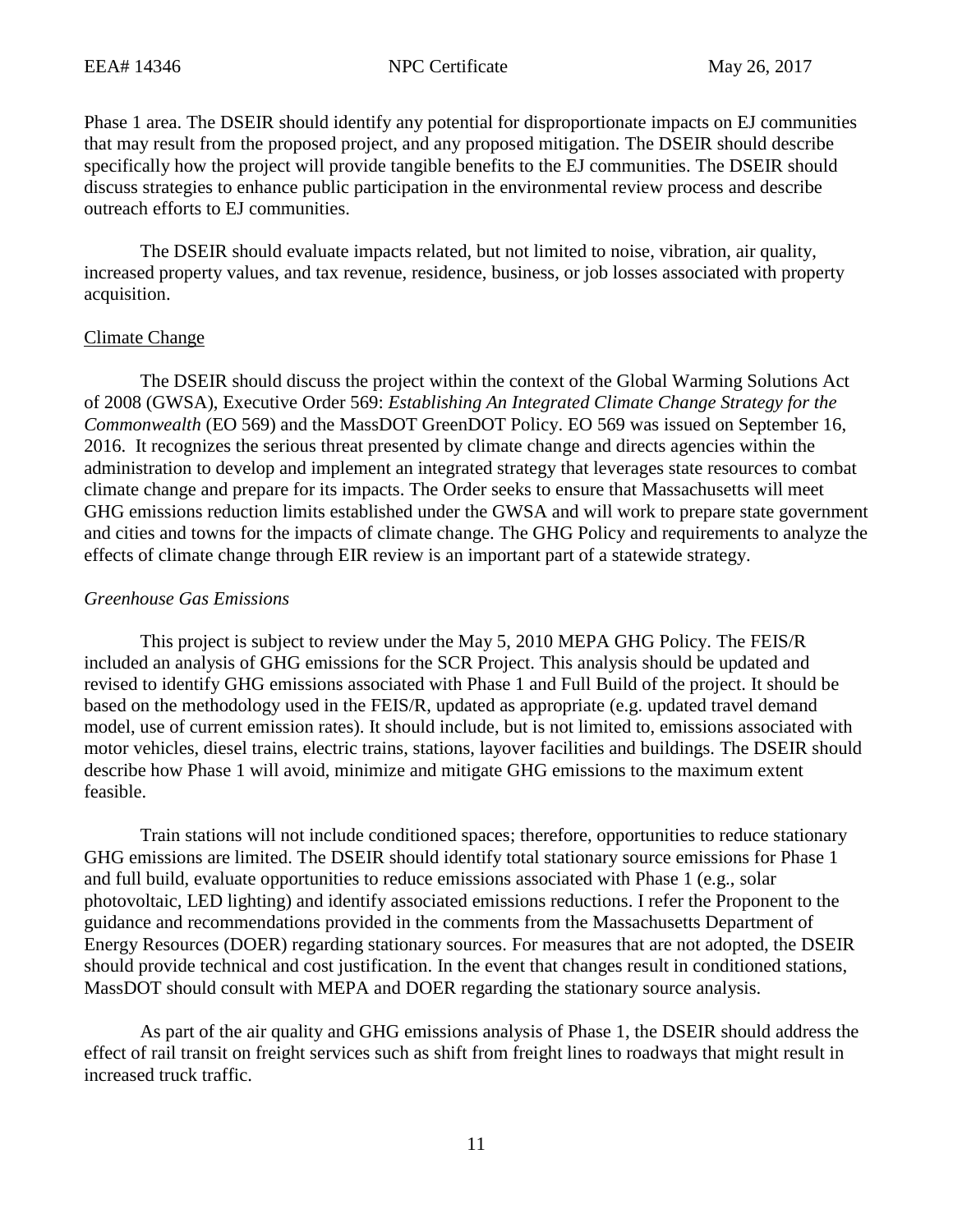Phase 1 area. The DSEIR should identify any potential for disproportionate impacts on EJ communities that may result from the proposed project, and any proposed mitigation. The DSEIR should describe specifically how the project will provide tangible benefits to the EJ communities. The DSEIR should discuss strategies to enhance public participation in the environmental review process and describe outreach efforts to EJ communities.

The DSEIR should evaluate impacts related, but not limited to noise, vibration, air quality, increased property values, and tax revenue, residence, business, or job losses associated with property acquisition.

### Climate Change

The DSEIR should discuss the project within the context of the Global Warming Solutions Act of 2008 (GWSA), Executive Order 569: *Establishing An Integrated Climate Change Strategy for the Commonwealth* (EO 569) and the MassDOT GreenDOT Policy. EO 569 was issued on September 16, 2016. It recognizes the serious threat presented by climate change and directs agencies within the administration to develop and implement an integrated strategy that leverages state resources to combat climate change and prepare for its impacts. The Order seeks to ensure that Massachusetts will meet GHG emissions reduction limits established under the GWSA and will work to prepare state government and cities and towns for the impacts of climate change. The GHG Policy and requirements to analyze the effects of climate change through EIR review is an important part of a statewide strategy.

## *Greenhouse Gas Emissions*

This project is subject to review under the May 5, 2010 MEPA GHG Policy. The FEIS/R included an analysis of GHG emissions for the SCR Project. This analysis should be updated and revised to identify GHG emissions associated with Phase 1 and Full Build of the project. It should be based on the methodology used in the FEIS/R, updated as appropriate (e.g. updated travel demand model, use of current emission rates). It should include, but is not limited to, emissions associated with motor vehicles, diesel trains, electric trains, stations, layover facilities and buildings. The DSEIR should describe how Phase 1 will avoid, minimize and mitigate GHG emissions to the maximum extent feasible.

Train stations will not include conditioned spaces; therefore, opportunities to reduce stationary GHG emissions are limited. The DSEIR should identify total stationary source emissions for Phase 1 and full build, evaluate opportunities to reduce emissions associated with Phase 1 (e.g., solar photovoltaic, LED lighting) and identify associated emissions reductions. I refer the Proponent to the guidance and recommendations provided in the comments from the Massachusetts Department of Energy Resources (DOER) regarding stationary sources. For measures that are not adopted, the DSEIR should provide technical and cost justification. In the event that changes result in conditioned stations, MassDOT should consult with MEPA and DOER regarding the stationary source analysis.

As part of the air quality and GHG emissions analysis of Phase 1, the DSEIR should address the effect of rail transit on freight services such as shift from freight lines to roadways that might result in increased truck traffic.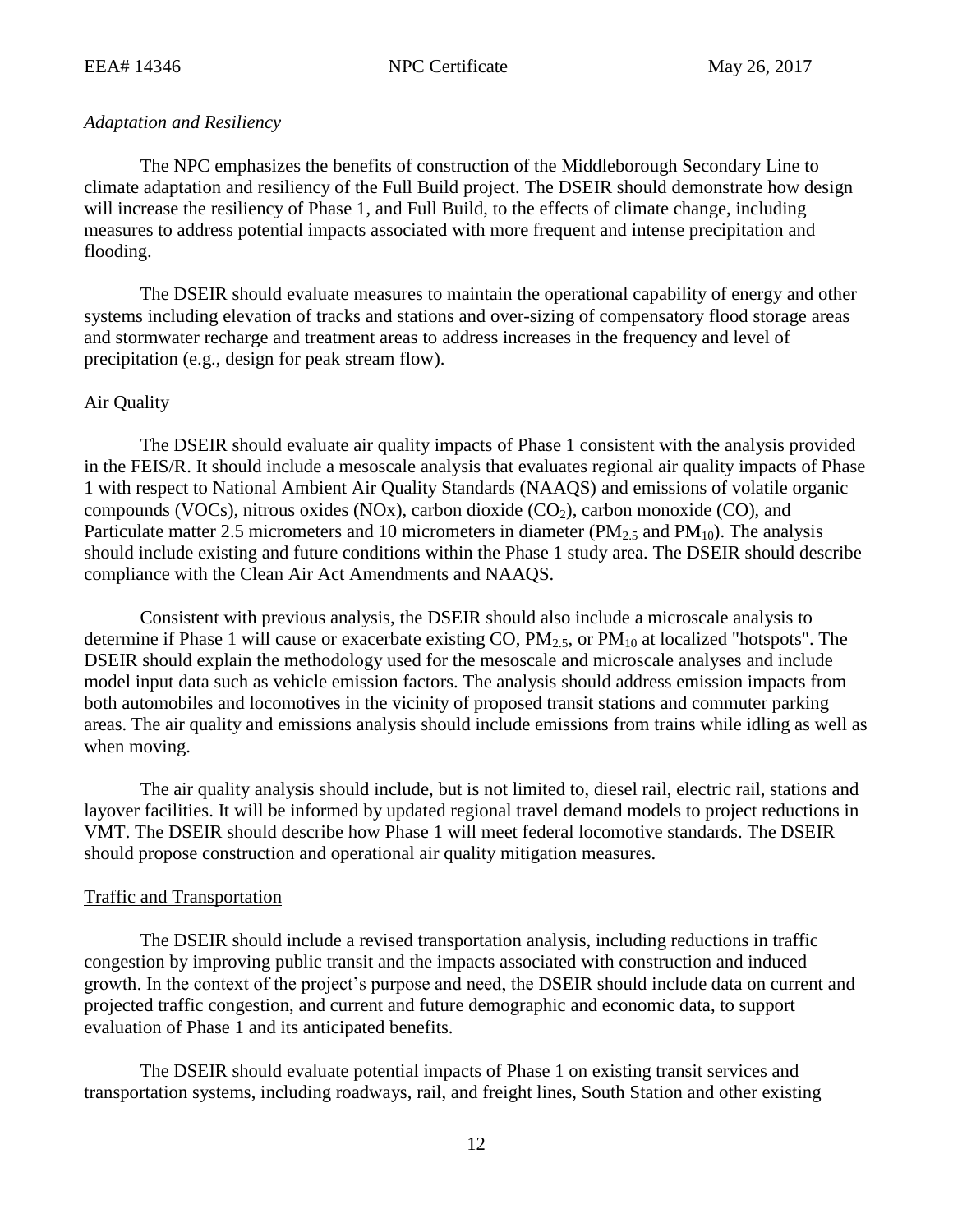### *Adaptation and Resiliency*

The NPC emphasizes the benefits of construction of the Middleborough Secondary Line to climate adaptation and resiliency of the Full Build project. The DSEIR should demonstrate how design will increase the resiliency of Phase 1, and Full Build, to the effects of climate change, including measures to address potential impacts associated with more frequent and intense precipitation and flooding.

The DSEIR should evaluate measures to maintain the operational capability of energy and other systems including elevation of tracks and stations and over-sizing of compensatory flood storage areas and stormwater recharge and treatment areas to address increases in the frequency and level of precipitation (e.g., design for peak stream flow).

### Air Quality

The DSEIR should evaluate air quality impacts of Phase 1 consistent with the analysis provided in the FEIS/R. It should include a mesoscale analysis that evaluates regional air quality impacts of Phase 1 with respect to National Ambient Air Quality Standards (NAAQS) and emissions of volatile organic compounds (VOCs), nitrous oxides (NOx), carbon dioxide  $(CO<sub>2</sub>)$ , carbon monoxide (CO), and Particulate matter 2.5 micrometers and 10 micrometers in diameter ( $PM_{2.5}$  and  $PM_{10}$ ). The analysis should include existing and future conditions within the Phase 1 study area. The DSEIR should describe compliance with the Clean Air Act Amendments and NAAQS.

Consistent with previous analysis, the DSEIR should also include a microscale analysis to determine if Phase 1 will cause or exacerbate existing CO,  $PM_2$ , or  $PM_{10}$  at localized "hotspots". The DSEIR should explain the methodology used for the mesoscale and microscale analyses and include model input data such as vehicle emission factors. The analysis should address emission impacts from both automobiles and locomotives in the vicinity of proposed transit stations and commuter parking areas. The air quality and emissions analysis should include emissions from trains while idling as well as when moving.

The air quality analysis should include, but is not limited to, diesel rail, electric rail, stations and layover facilities. It will be informed by updated regional travel demand models to project reductions in VMT. The DSEIR should describe how Phase 1 will meet federal locomotive standards. The DSEIR should propose construction and operational air quality mitigation measures.

### Traffic and Transportation

The DSEIR should include a revised transportation analysis, including reductions in traffic congestion by improving public transit and the impacts associated with construction and induced growth. In the context of the project's purpose and need, the DSEIR should include data on current and projected traffic congestion, and current and future demographic and economic data, to support evaluation of Phase 1 and its anticipated benefits.

The DSEIR should evaluate potential impacts of Phase 1 on existing transit services and transportation systems, including roadways, rail, and freight lines, South Station and other existing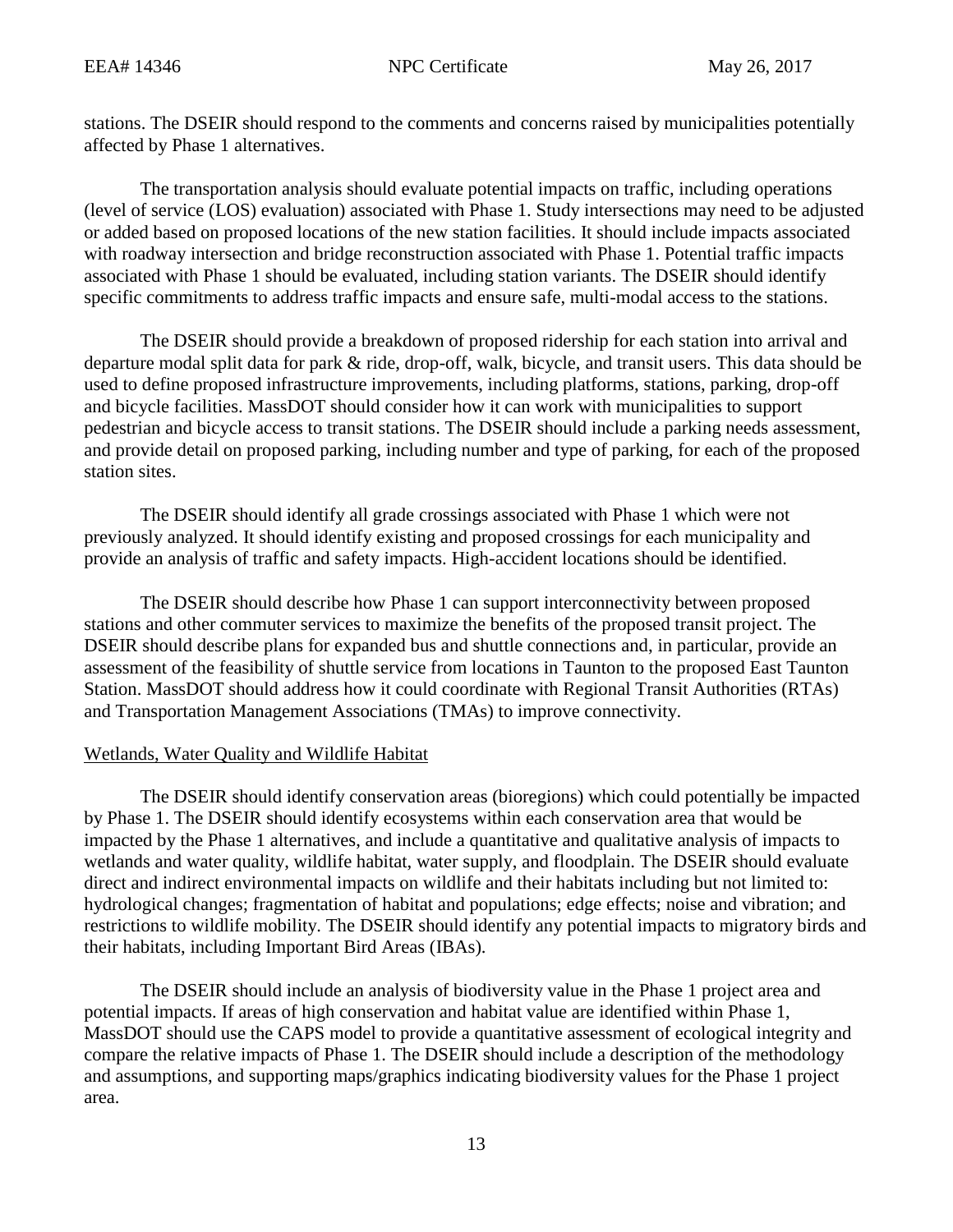stations. The DSEIR should respond to the comments and concerns raised by municipalities potentially affected by Phase 1 alternatives.

The transportation analysis should evaluate potential impacts on traffic, including operations (level of service (LOS) evaluation) associated with Phase 1. Study intersections may need to be adjusted or added based on proposed locations of the new station facilities. It should include impacts associated with roadway intersection and bridge reconstruction associated with Phase 1. Potential traffic impacts associated with Phase 1 should be evaluated, including station variants. The DSEIR should identify specific commitments to address traffic impacts and ensure safe, multi-modal access to the stations.

The DSEIR should provide a breakdown of proposed ridership for each station into arrival and departure modal split data for park & ride, drop-off, walk, bicycle, and transit users. This data should be used to define proposed infrastructure improvements, including platforms, stations, parking, drop-off and bicycle facilities. MassDOT should consider how it can work with municipalities to support pedestrian and bicycle access to transit stations. The DSEIR should include a parking needs assessment, and provide detail on proposed parking, including number and type of parking, for each of the proposed station sites.

The DSEIR should identify all grade crossings associated with Phase 1 which were not previously analyzed. It should identify existing and proposed crossings for each municipality and provide an analysis of traffic and safety impacts. High-accident locations should be identified.

The DSEIR should describe how Phase 1 can support interconnectivity between proposed stations and other commuter services to maximize the benefits of the proposed transit project. The DSEIR should describe plans for expanded bus and shuttle connections and, in particular, provide an assessment of the feasibility of shuttle service from locations in Taunton to the proposed East Taunton Station. MassDOT should address how it could coordinate with Regional Transit Authorities (RTAs) and Transportation Management Associations (TMAs) to improve connectivity.

# Wetlands, Water Quality and Wildlife Habitat

The DSEIR should identify conservation areas (bioregions) which could potentially be impacted by Phase 1. The DSEIR should identify ecosystems within each conservation area that would be impacted by the Phase 1 alternatives, and include a quantitative and qualitative analysis of impacts to wetlands and water quality, wildlife habitat, water supply, and floodplain. The DSEIR should evaluate direct and indirect environmental impacts on wildlife and their habitats including but not limited to: hydrological changes; fragmentation of habitat and populations; edge effects; noise and vibration; and restrictions to wildlife mobility. The DSEIR should identify any potential impacts to migratory birds and their habitats, including Important Bird Areas (IBAs).

The DSEIR should include an analysis of biodiversity value in the Phase 1 project area and potential impacts. If areas of high conservation and habitat value are identified within Phase 1, MassDOT should use the CAPS model to provide a quantitative assessment of ecological integrity and compare the relative impacts of Phase 1. The DSEIR should include a description of the methodology and assumptions, and supporting maps/graphics indicating biodiversity values for the Phase 1 project area.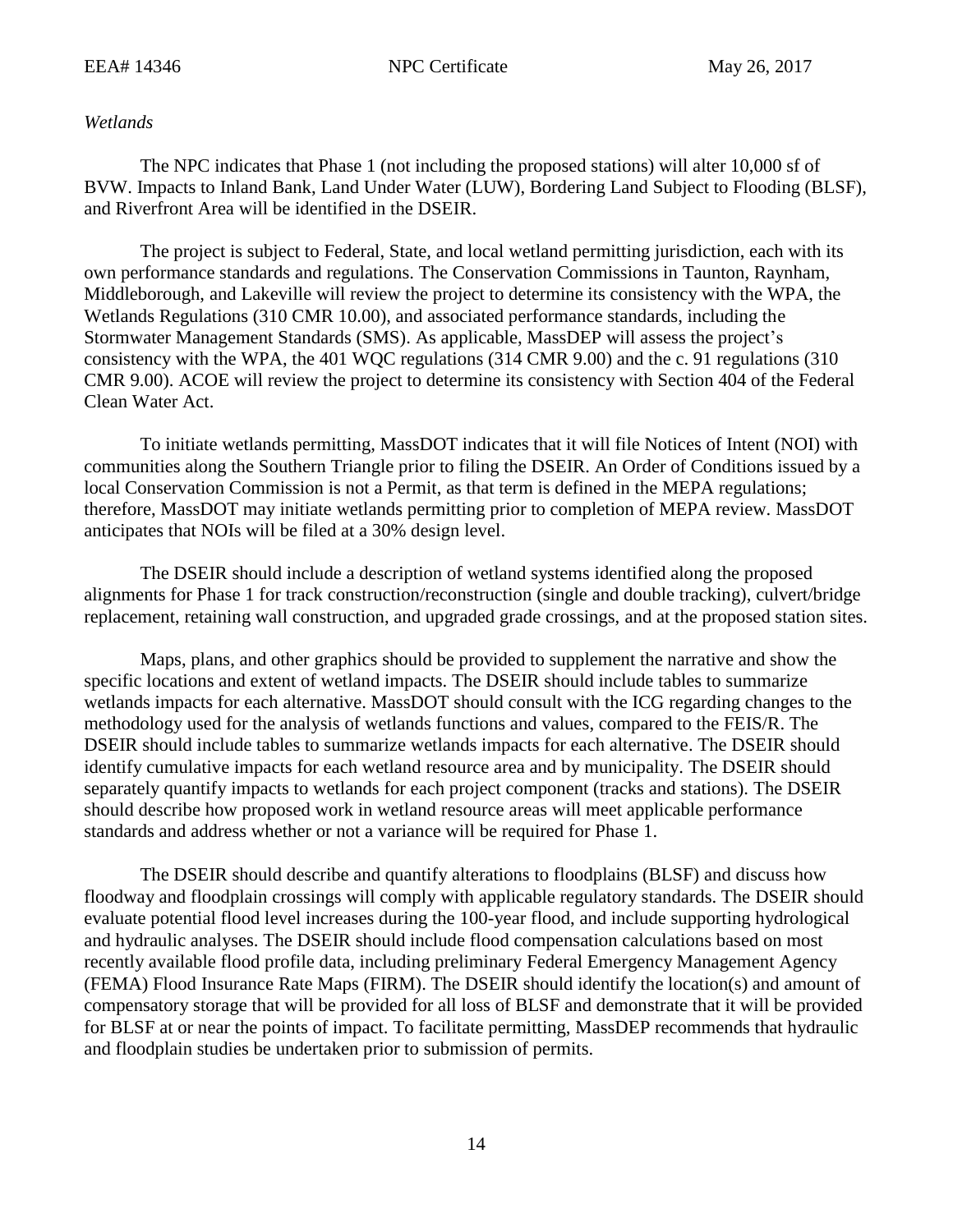### *Wetlands*

The NPC indicates that Phase 1 (not including the proposed stations) will alter 10,000 sf of BVW. Impacts to Inland Bank, Land Under Water (LUW), Bordering Land Subject to Flooding (BLSF), and Riverfront Area will be identified in the DSEIR.

The project is subject to Federal, State, and local wetland permitting jurisdiction, each with its own performance standards and regulations. The Conservation Commissions in Taunton, Raynham, Middleborough, and Lakeville will review the project to determine its consistency with the WPA, the Wetlands Regulations (310 CMR 10.00), and associated performance standards, including the Stormwater Management Standards (SMS). As applicable, MassDEP will assess the project's consistency with the WPA, the 401 WQC regulations (314 CMR 9.00) and the c. 91 regulations (310 CMR 9.00). ACOE will review the project to determine its consistency with Section 404 of the Federal Clean Water Act.

To initiate wetlands permitting, MassDOT indicates that it will file Notices of Intent (NOI) with communities along the Southern Triangle prior to filing the DSEIR. An Order of Conditions issued by a local Conservation Commission is not a Permit, as that term is defined in the MEPA regulations; therefore, MassDOT may initiate wetlands permitting prior to completion of MEPA review. MassDOT anticipates that NOIs will be filed at a 30% design level.

The DSEIR should include a description of wetland systems identified along the proposed alignments for Phase 1 for track construction/reconstruction (single and double tracking), culvert/bridge replacement, retaining wall construction, and upgraded grade crossings, and at the proposed station sites.

Maps, plans, and other graphics should be provided to supplement the narrative and show the specific locations and extent of wetland impacts. The DSEIR should include tables to summarize wetlands impacts for each alternative. MassDOT should consult with the ICG regarding changes to the methodology used for the analysis of wetlands functions and values, compared to the FEIS/R. The DSEIR should include tables to summarize wetlands impacts for each alternative. The DSEIR should identify cumulative impacts for each wetland resource area and by municipality. The DSEIR should separately quantify impacts to wetlands for each project component (tracks and stations). The DSEIR should describe how proposed work in wetland resource areas will meet applicable performance standards and address whether or not a variance will be required for Phase 1.

The DSEIR should describe and quantify alterations to floodplains (BLSF) and discuss how floodway and floodplain crossings will comply with applicable regulatory standards. The DSEIR should evaluate potential flood level increases during the 100-year flood, and include supporting hydrological and hydraulic analyses. The DSEIR should include flood compensation calculations based on most recently available flood profile data, including preliminary Federal Emergency Management Agency (FEMA) Flood Insurance Rate Maps (FIRM). The DSEIR should identify the location(s) and amount of compensatory storage that will be provided for all loss of BLSF and demonstrate that it will be provided for BLSF at or near the points of impact. To facilitate permitting, MassDEP recommends that hydraulic and floodplain studies be undertaken prior to submission of permits.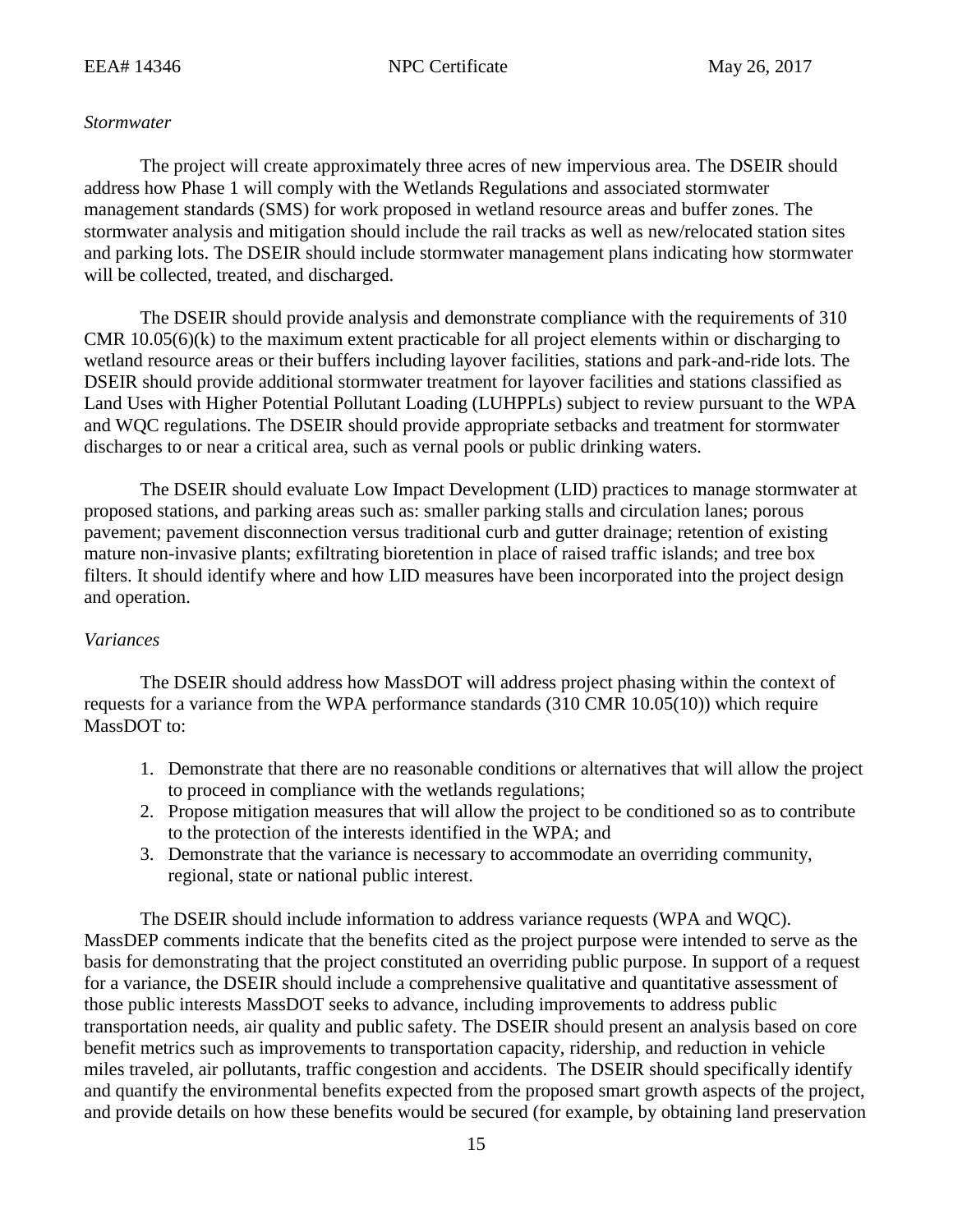### *Stormwater*

The project will create approximately three acres of new impervious area. The DSEIR should address how Phase 1 will comply with the Wetlands Regulations and associated stormwater management standards (SMS) for work proposed in wetland resource areas and buffer zones. The stormwater analysis and mitigation should include the rail tracks as well as new/relocated station sites and parking lots. The DSEIR should include stormwater management plans indicating how stormwater will be collected, treated, and discharged.

The DSEIR should provide analysis and demonstrate compliance with the requirements of 310 CMR  $10.05(6)(k)$  to the maximum extent practicable for all project elements within or discharging to wetland resource areas or their buffers including layover facilities, stations and park-and-ride lots. The DSEIR should provide additional stormwater treatment for layover facilities and stations classified as Land Uses with Higher Potential Pollutant Loading (LUHPPLs) subject to review pursuant to the WPA and WQC regulations. The DSEIR should provide appropriate setbacks and treatment for stormwater discharges to or near a critical area, such as vernal pools or public drinking waters.

The DSEIR should evaluate Low Impact Development (LID) practices to manage stormwater at proposed stations, and parking areas such as: smaller parking stalls and circulation lanes; porous pavement; pavement disconnection versus traditional curb and gutter drainage; retention of existing mature non-invasive plants; exfiltrating bioretention in place of raised traffic islands; and tree box filters. It should identify where and how LID measures have been incorporated into the project design and operation.

### *Variances*

The DSEIR should address how MassDOT will address project phasing within the context of requests for a variance from the WPA performance standards (310 CMR 10.05(10)) which require MassDOT to:

- 1. Demonstrate that there are no reasonable conditions or alternatives that will allow the project to proceed in compliance with the wetlands regulations;
- 2. Propose mitigation measures that will allow the project to be conditioned so as to contribute to the protection of the interests identified in the WPA; and
- 3. Demonstrate that the variance is necessary to accommodate an overriding community, regional, state or national public interest.

The DSEIR should include information to address variance requests (WPA and WQC). MassDEP comments indicate that the benefits cited as the project purpose were intended to serve as the basis for demonstrating that the project constituted an overriding public purpose. In support of a request for a variance, the DSEIR should include a comprehensive qualitative and quantitative assessment of those public interests MassDOT seeks to advance, including improvements to address public transportation needs, air quality and public safety. The DSEIR should present an analysis based on core benefit metrics such as improvements to transportation capacity, ridership, and reduction in vehicle miles traveled, air pollutants, traffic congestion and accidents. The DSEIR should specifically identify and quantify the environmental benefits expected from the proposed smart growth aspects of the project, and provide details on how these benefits would be secured (for example, by obtaining land preservation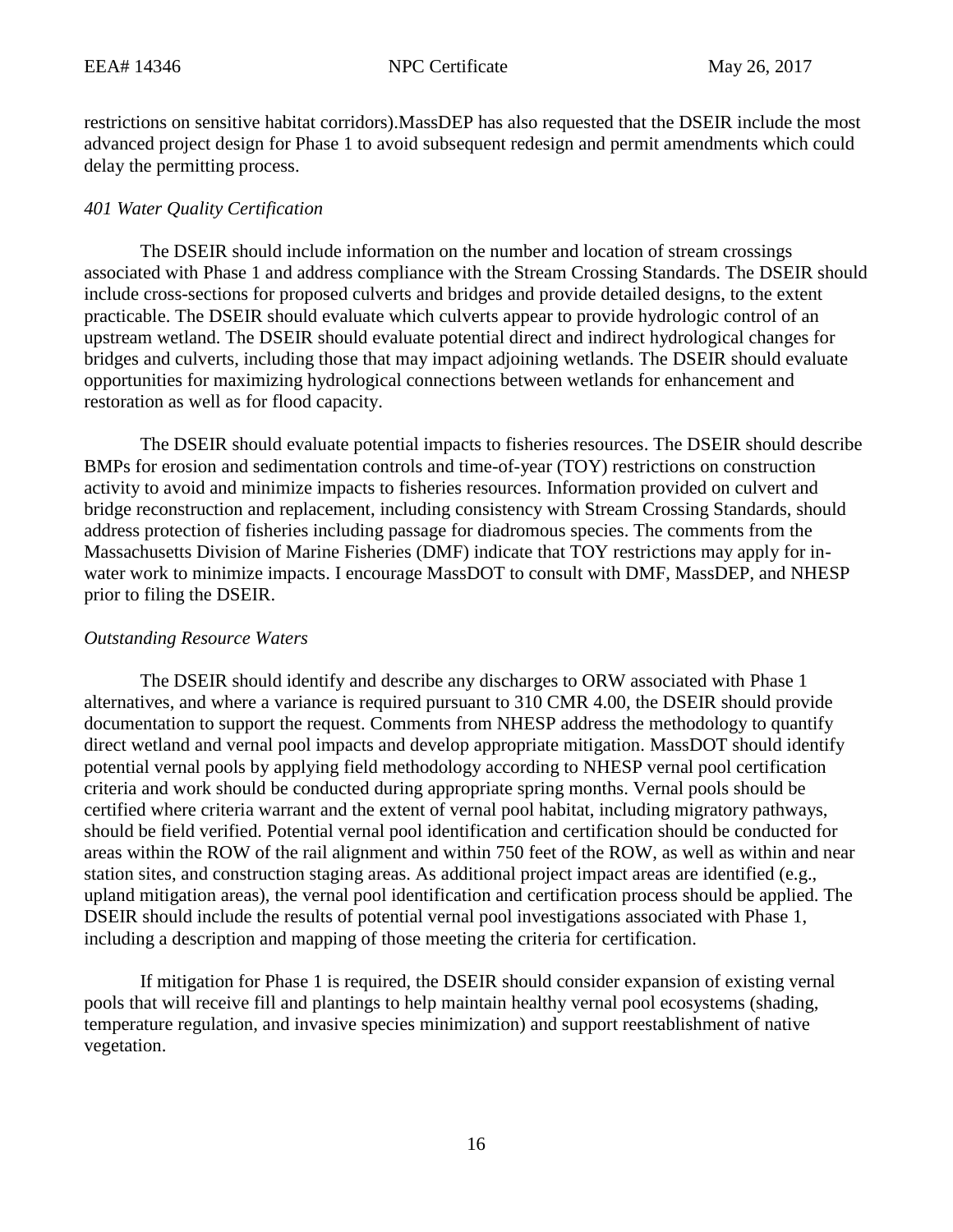restrictions on sensitive habitat corridors).MassDEP has also requested that the DSEIR include the most advanced project design for Phase 1 to avoid subsequent redesign and permit amendments which could delay the permitting process.

## *401 Water Quality Certification*

The DSEIR should include information on the number and location of stream crossings associated with Phase 1 and address compliance with the Stream Crossing Standards. The DSEIR should include cross-sections for proposed culverts and bridges and provide detailed designs, to the extent practicable. The DSEIR should evaluate which culverts appear to provide hydrologic control of an upstream wetland. The DSEIR should evaluate potential direct and indirect hydrological changes for bridges and culverts, including those that may impact adjoining wetlands. The DSEIR should evaluate opportunities for maximizing hydrological connections between wetlands for enhancement and restoration as well as for flood capacity.

The DSEIR should evaluate potential impacts to fisheries resources. The DSEIR should describe BMPs for erosion and sedimentation controls and time-of-year (TOY) restrictions on construction activity to avoid and minimize impacts to fisheries resources. Information provided on culvert and bridge reconstruction and replacement, including consistency with Stream Crossing Standards, should address protection of fisheries including passage for diadromous species. The comments from the Massachusetts Division of Marine Fisheries (DMF) indicate that TOY restrictions may apply for inwater work to minimize impacts. I encourage MassDOT to consult with DMF, MassDEP, and NHESP prior to filing the DSEIR.

## *Outstanding Resource Waters*

The DSEIR should identify and describe any discharges to ORW associated with Phase 1 alternatives, and where a variance is required pursuant to 310 CMR 4.00, the DSEIR should provide documentation to support the request. Comments from NHESP address the methodology to quantify direct wetland and vernal pool impacts and develop appropriate mitigation. MassDOT should identify potential vernal pools by applying field methodology according to NHESP vernal pool certification criteria and work should be conducted during appropriate spring months. Vernal pools should be certified where criteria warrant and the extent of vernal pool habitat, including migratory pathways, should be field verified. Potential vernal pool identification and certification should be conducted for areas within the ROW of the rail alignment and within 750 feet of the ROW, as well as within and near station sites, and construction staging areas. As additional project impact areas are identified (e.g., upland mitigation areas), the vernal pool identification and certification process should be applied. The DSEIR should include the results of potential vernal pool investigations associated with Phase 1, including a description and mapping of those meeting the criteria for certification.

If mitigation for Phase 1 is required, the DSEIR should consider expansion of existing vernal pools that will receive fill and plantings to help maintain healthy vernal pool ecosystems (shading, temperature regulation, and invasive species minimization) and support reestablishment of native vegetation.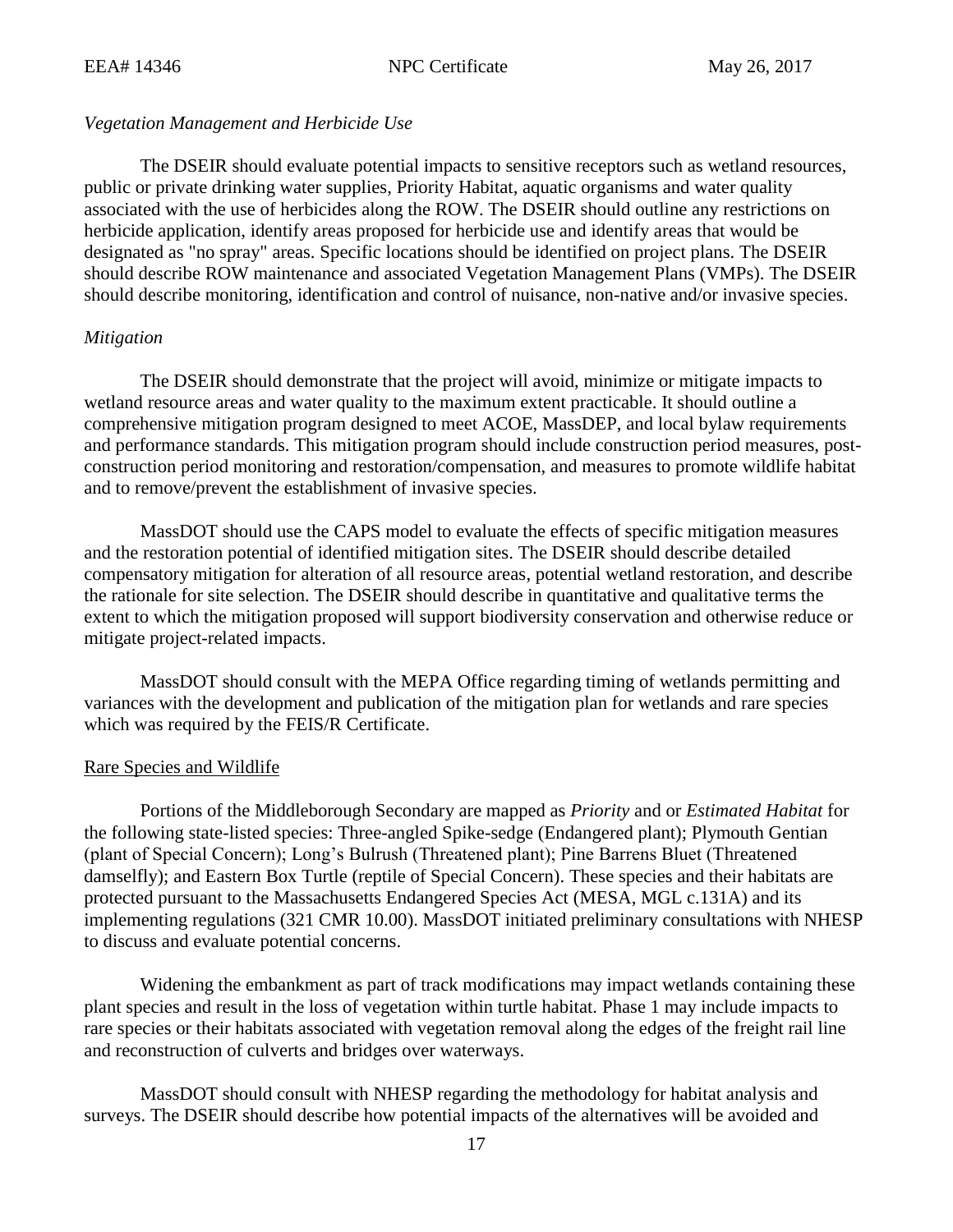### *Vegetation Management and Herbicide Use*

The DSEIR should evaluate potential impacts to sensitive receptors such as wetland resources, public or private drinking water supplies, Priority Habitat, aquatic organisms and water quality associated with the use of herbicides along the ROW. The DSEIR should outline any restrictions on herbicide application, identify areas proposed for herbicide use and identify areas that would be designated as "no spray" areas. Specific locations should be identified on project plans. The DSEIR should describe ROW maintenance and associated Vegetation Management Plans (VMPs). The DSEIR should describe monitoring, identification and control of nuisance, non-native and/or invasive species.

### *Mitigation*

The DSEIR should demonstrate that the project will avoid, minimize or mitigate impacts to wetland resource areas and water quality to the maximum extent practicable. It should outline a comprehensive mitigation program designed to meet ACOE, MassDEP, and local bylaw requirements and performance standards. This mitigation program should include construction period measures, postconstruction period monitoring and restoration/compensation, and measures to promote wildlife habitat and to remove/prevent the establishment of invasive species.

MassDOT should use the CAPS model to evaluate the effects of specific mitigation measures and the restoration potential of identified mitigation sites. The DSEIR should describe detailed compensatory mitigation for alteration of all resource areas, potential wetland restoration, and describe the rationale for site selection. The DSEIR should describe in quantitative and qualitative terms the extent to which the mitigation proposed will support biodiversity conservation and otherwise reduce or mitigate project-related impacts.

MassDOT should consult with the MEPA Office regarding timing of wetlands permitting and variances with the development and publication of the mitigation plan for wetlands and rare species which was required by the FEIS/R Certificate.

### Rare Species and Wildlife

Portions of the Middleborough Secondary are mapped as *Priority* and or *Estimated Habitat* for the following state-listed species: Three-angled Spike-sedge (Endangered plant); Plymouth Gentian (plant of Special Concern); Long's Bulrush (Threatened plant); Pine Barrens Bluet (Threatened damselfly); and Eastern Box Turtle (reptile of Special Concern). These species and their habitats are protected pursuant to the Massachusetts Endangered Species Act (MESA, MGL c.131A) and its implementing regulations (321 CMR 10.00). MassDOT initiated preliminary consultations with NHESP to discuss and evaluate potential concerns.

Widening the embankment as part of track modifications may impact wetlands containing these plant species and result in the loss of vegetation within turtle habitat. Phase 1 may include impacts to rare species or their habitats associated with vegetation removal along the edges of the freight rail line and reconstruction of culverts and bridges over waterways.

MassDOT should consult with NHESP regarding the methodology for habitat analysis and surveys. The DSEIR should describe how potential impacts of the alternatives will be avoided and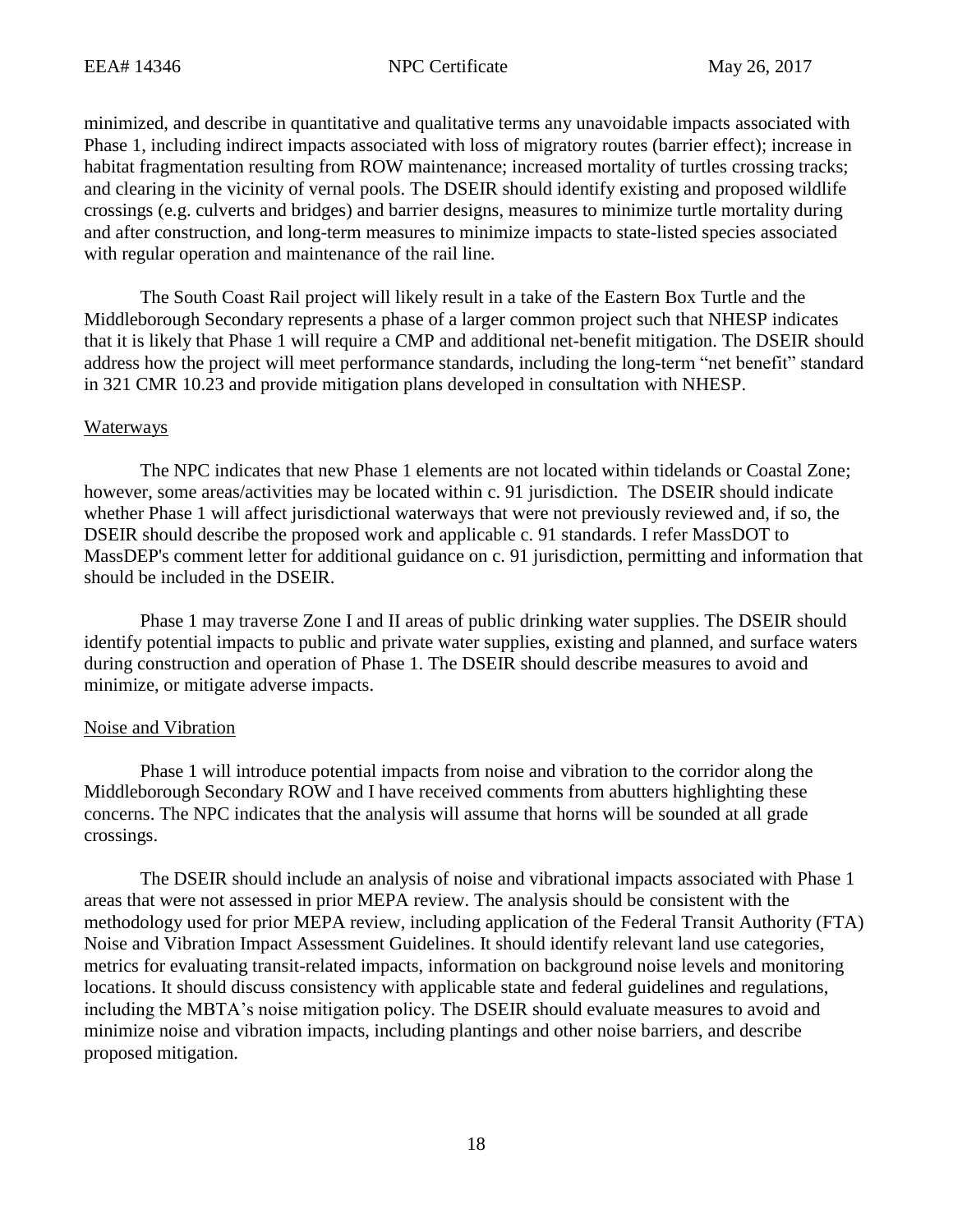minimized, and describe in quantitative and qualitative terms any unavoidable impacts associated with Phase 1, including indirect impacts associated with loss of migratory routes (barrier effect); increase in habitat fragmentation resulting from ROW maintenance; increased mortality of turtles crossing tracks; and clearing in the vicinity of vernal pools. The DSEIR should identify existing and proposed wildlife crossings (e.g. culverts and bridges) and barrier designs, measures to minimize turtle mortality during and after construction, and long-term measures to minimize impacts to state-listed species associated with regular operation and maintenance of the rail line.

The South Coast Rail project will likely result in a take of the Eastern Box Turtle and the Middleborough Secondary represents a phase of a larger common project such that NHESP indicates that it is likely that Phase 1 will require a CMP and additional net-benefit mitigation. The DSEIR should address how the project will meet performance standards, including the long-term "net benefit" standard in 321 CMR 10.23 and provide mitigation plans developed in consultation with NHESP.

## Waterways

The NPC indicates that new Phase 1 elements are not located within tidelands or Coastal Zone; however, some areas/activities may be located within c. 91 jurisdiction. The DSEIR should indicate whether Phase 1 will affect jurisdictional waterways that were not previously reviewed and, if so, the DSEIR should describe the proposed work and applicable c. 91 standards. I refer MassDOT to MassDEP's comment letter for additional guidance on c. 91 jurisdiction, permitting and information that should be included in the DSEIR.

Phase 1 may traverse Zone I and II areas of public drinking water supplies. The DSEIR should identify potential impacts to public and private water supplies, existing and planned, and surface waters during construction and operation of Phase 1. The DSEIR should describe measures to avoid and minimize, or mitigate adverse impacts.

# Noise and Vibration

Phase 1 will introduce potential impacts from noise and vibration to the corridor along the Middleborough Secondary ROW and I have received comments from abutters highlighting these concerns. The NPC indicates that the analysis will assume that horns will be sounded at all grade crossings.

The DSEIR should include an analysis of noise and vibrational impacts associated with Phase 1 areas that were not assessed in prior MEPA review. The analysis should be consistent with the methodology used for prior MEPA review, including application of the Federal Transit Authority (FTA) Noise and Vibration Impact Assessment Guidelines. It should identify relevant land use categories, metrics for evaluating transit-related impacts, information on background noise levels and monitoring locations. It should discuss consistency with applicable state and federal guidelines and regulations, including the MBTA's noise mitigation policy. The DSEIR should evaluate measures to avoid and minimize noise and vibration impacts, including plantings and other noise barriers, and describe proposed mitigation.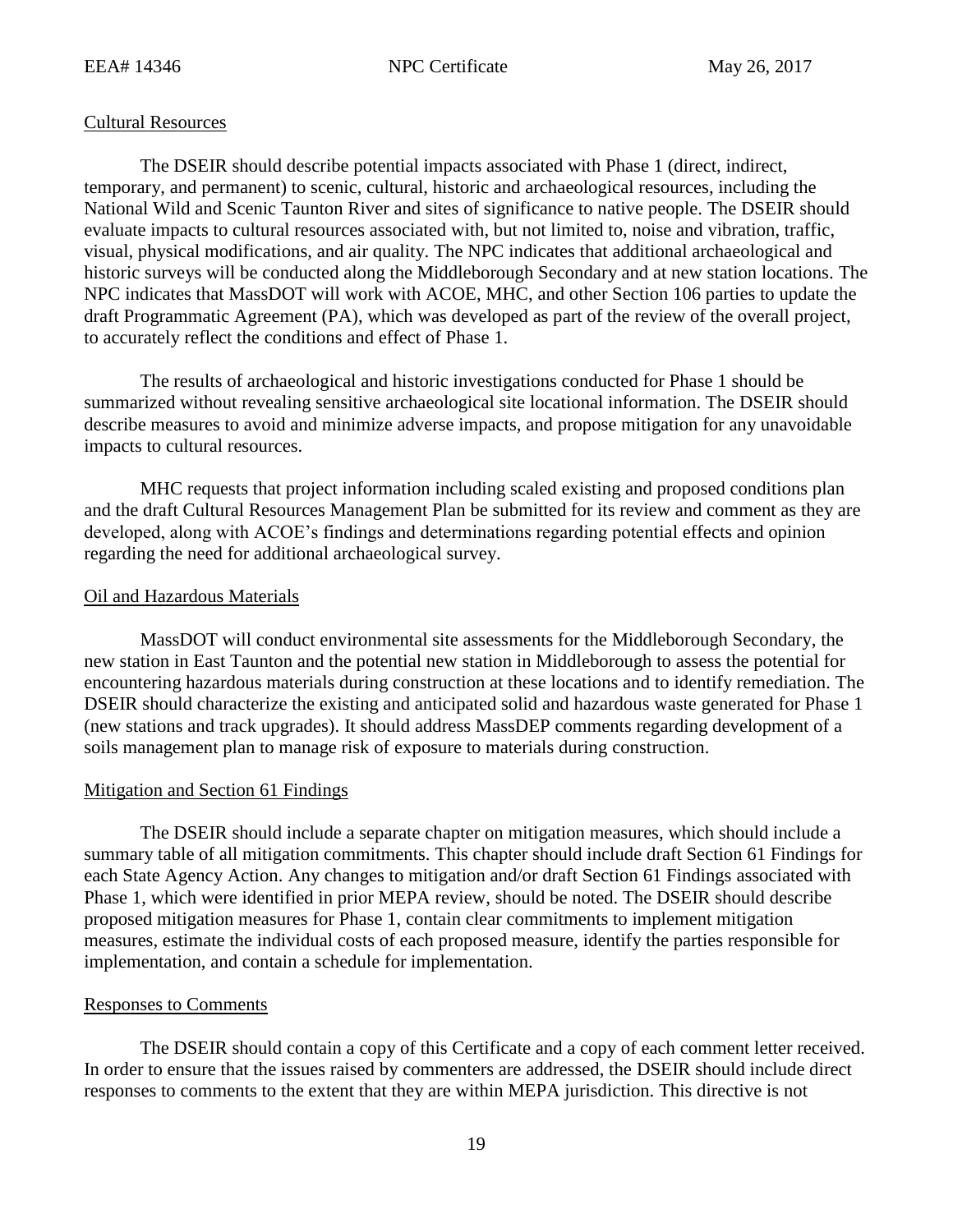## Cultural Resources

The DSEIR should describe potential impacts associated with Phase 1 (direct, indirect, temporary, and permanent) to scenic, cultural, historic and archaeological resources, including the National Wild and Scenic Taunton River and sites of significance to native people. The DSEIR should evaluate impacts to cultural resources associated with, but not limited to, noise and vibration, traffic, visual, physical modifications, and air quality. The NPC indicates that additional archaeological and historic surveys will be conducted along the Middleborough Secondary and at new station locations. The NPC indicates that MassDOT will work with ACOE, MHC, and other Section 106 parties to update the draft Programmatic Agreement (PA), which was developed as part of the review of the overall project, to accurately reflect the conditions and effect of Phase 1.

The results of archaeological and historic investigations conducted for Phase 1 should be summarized without revealing sensitive archaeological site locational information. The DSEIR should describe measures to avoid and minimize adverse impacts, and propose mitigation for any unavoidable impacts to cultural resources.

MHC requests that project information including scaled existing and proposed conditions plan and the draft Cultural Resources Management Plan be submitted for its review and comment as they are developed, along with ACOE's findings and determinations regarding potential effects and opinion regarding the need for additional archaeological survey.

## Oil and Hazardous Materials

MassDOT will conduct environmental site assessments for the Middleborough Secondary, the new station in East Taunton and the potential new station in Middleborough to assess the potential for encountering hazardous materials during construction at these locations and to identify remediation. The DSEIR should characterize the existing and anticipated solid and hazardous waste generated for Phase 1 (new stations and track upgrades). It should address MassDEP comments regarding development of a soils management plan to manage risk of exposure to materials during construction.

### Mitigation and Section 61 Findings

The DSEIR should include a separate chapter on mitigation measures, which should include a summary table of all mitigation commitments. This chapter should include draft Section 61 Findings for each State Agency Action. Any changes to mitigation and/or draft Section 61 Findings associated with Phase 1, which were identified in prior MEPA review, should be noted. The DSEIR should describe proposed mitigation measures for Phase 1, contain clear commitments to implement mitigation measures, estimate the individual costs of each proposed measure, identify the parties responsible for implementation, and contain a schedule for implementation.

## Responses to Comments

The DSEIR should contain a copy of this Certificate and a copy of each comment letter received. In order to ensure that the issues raised by commenters are addressed, the DSEIR should include direct responses to comments to the extent that they are within MEPA jurisdiction. This directive is not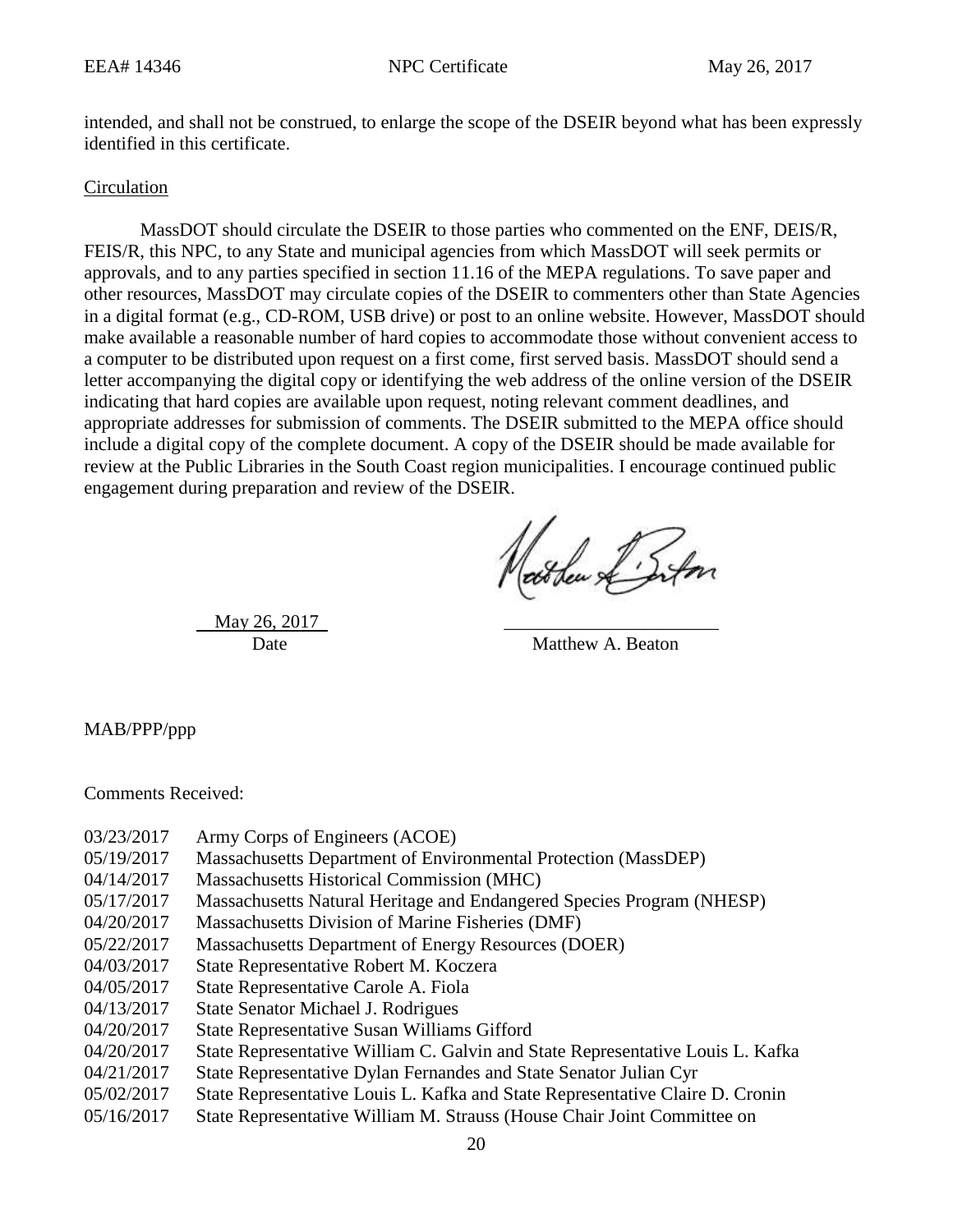intended, and shall not be construed, to enlarge the scope of the DSEIR beyond what has been expressly identified in this certificate.

### Circulation

MassDOT should circulate the DSEIR to those parties who commented on the ENF, DEIS/R, FEIS/R, this NPC, to any State and municipal agencies from which MassDOT will seek permits or approvals, and to any parties specified in section 11.16 of the MEPA regulations. To save paper and other resources, MassDOT may circulate copies of the DSEIR to commenters other than State Agencies in a digital format (e.g., CD-ROM, USB drive) or post to an online website. However, MassDOT should make available a reasonable number of hard copies to accommodate those without convenient access to a computer to be distributed upon request on a first come, first served basis. MassDOT should send a letter accompanying the digital copy or identifying the web address of the online version of the DSEIR indicating that hard copies are available upon request, noting relevant comment deadlines, and appropriate addresses for submission of comments. The DSEIR submitted to the MEPA office should include a digital copy of the complete document. A copy of the DSEIR should be made available for review at the Public Libraries in the South Coast region municipalities. I encourage continued public engagement during preparation and review of the DSEIR.

Nathan L'Infon

May 26, 2017

Date Matthew A. Beaton

MAB/PPP/ppp

Comments Received:

- 03/23/2017 Army Corps of Engineers (ACOE)
- 05/19/2017 Massachusetts Department of Environmental Protection (MassDEP)
- 04/14/2017 Massachusetts Historical Commission (MHC)
- 05/17/2017 Massachusetts Natural Heritage and Endangered Species Program (NHESP)
- 04/20/2017 Massachusetts Division of Marine Fisheries (DMF)
- 05/22/2017 Massachusetts Department of Energy Resources (DOER)
- 04/03/2017 State Representative Robert M. Koczera
- 04/05/2017 State Representative Carole A. Fiola
- 04/13/2017 State Senator Michael J. Rodrigues
- 04/20/2017 State Representative Susan Williams Gifford
- 04/20/2017 State Representative William C. Galvin and State Representative Louis L. Kafka
- 04/21/2017 State Representative Dylan Fernandes and State Senator Julian Cyr
- 05/02/2017 State Representative Louis L. Kafka and State Representative Claire D. Cronin
- 05/16/2017 State Representative William M. Strauss (House Chair Joint Committee on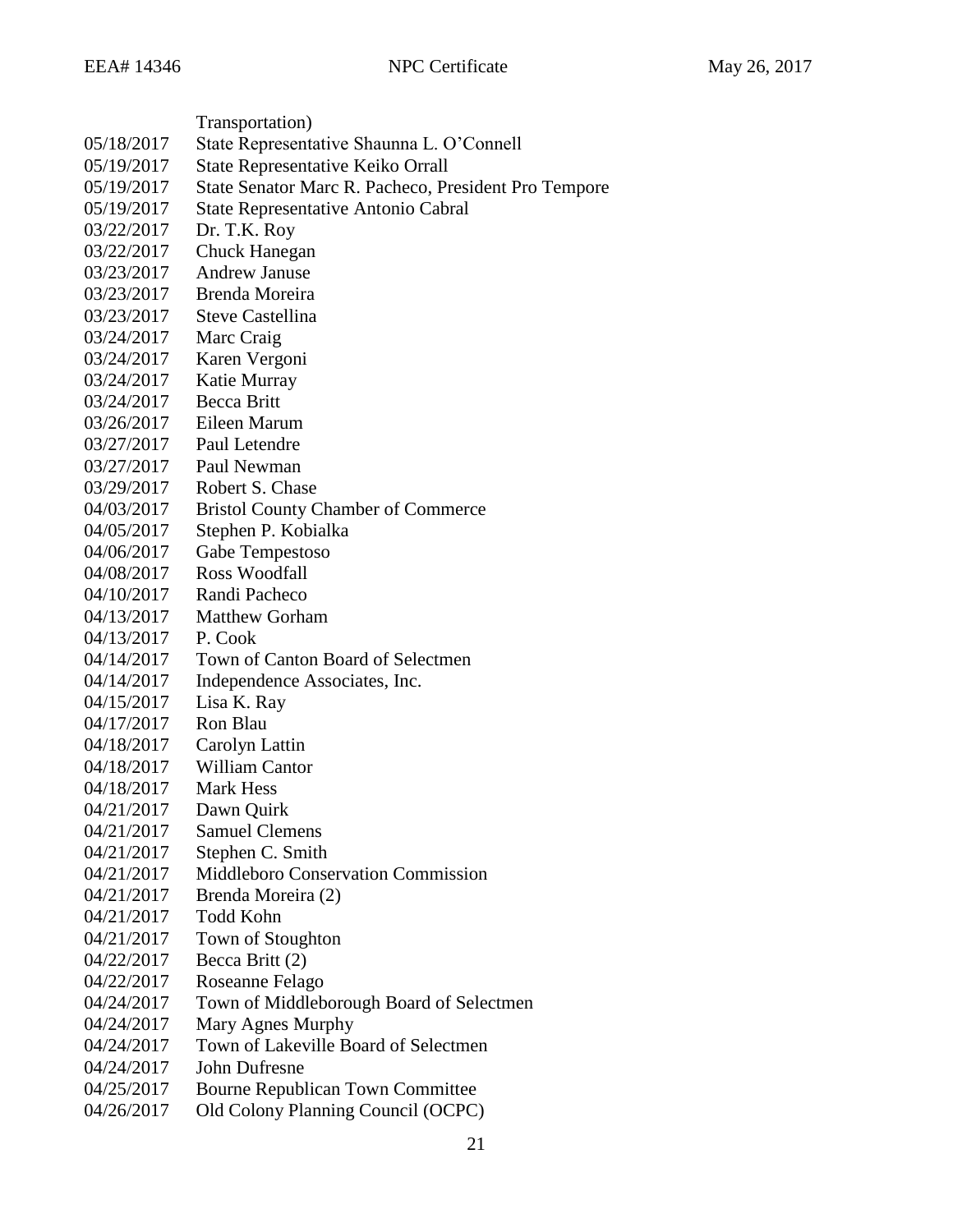|            | Transportation)                                      |
|------------|------------------------------------------------------|
| 05/18/2017 | State Representative Shaunna L. O'Connell            |
| 05/19/2017 | State Representative Keiko Orrall                    |
| 05/19/2017 | State Senator Marc R. Pacheco, President Pro Tempore |
| 05/19/2017 | <b>State Representative Antonio Cabral</b>           |
| 03/22/2017 | Dr. T.K. Roy                                         |
| 03/22/2017 | <b>Chuck Hanegan</b>                                 |
| 03/23/2017 | <b>Andrew Januse</b>                                 |
| 03/23/2017 | Brenda Moreira                                       |
| 03/23/2017 | <b>Steve Castellina</b>                              |
| 03/24/2017 | Marc Craig                                           |
| 03/24/2017 | Karen Vergoni                                        |
| 03/24/2017 | Katie Murray                                         |
| 03/24/2017 | <b>Becca Britt</b>                                   |
| 03/26/2017 | Eileen Marum                                         |
| 03/27/2017 | Paul Letendre                                        |
| 03/27/2017 | Paul Newman                                          |
| 03/29/2017 | Robert S. Chase                                      |
| 04/03/2017 | <b>Bristol County Chamber of Commerce</b>            |
| 04/05/2017 | Stephen P. Kobialka                                  |
| 04/06/2017 | Gabe Tempestoso                                      |
| 04/08/2017 | Ross Woodfall                                        |
| 04/10/2017 | Randi Pacheco                                        |
| 04/13/2017 | <b>Matthew Gorham</b>                                |
| 04/13/2017 | P. Cook                                              |
| 04/14/2017 | Town of Canton Board of Selectmen                    |
| 04/14/2017 | Independence Associates, Inc.                        |
| 04/15/2017 | Lisa K. Ray                                          |
| 04/17/2017 | Ron Blau                                             |
| 04/18/2017 | Carolyn Lattin                                       |
| 04/18/2017 | <b>William Cantor</b>                                |
| 04/18/2017 | <b>Mark Hess</b>                                     |
| 04/21/2017 | Dawn Quirk                                           |
| 04/21/2017 | <b>Samuel Clemens</b>                                |
| 04/21/2017 | Stephen C. Smith                                     |
| 04/21/2017 | <b>Middleboro Conservation Commission</b>            |
| 04/21/2017 | Brenda Moreira (2)                                   |
| 04/21/2017 | <b>Todd Kohn</b>                                     |
| 04/21/2017 | Town of Stoughton                                    |
| 04/22/2017 | Becca Britt (2)                                      |
| 04/22/2017 | Roseanne Felago                                      |
| 04/24/2017 | Town of Middleborough Board of Selectmen             |
| 04/24/2017 | Mary Agnes Murphy                                    |
| 04/24/2017 | Town of Lakeville Board of Selectmen                 |
| 04/24/2017 | <b>John Dufresne</b>                                 |
| 04/25/2017 | <b>Bourne Republican Town Committee</b>              |
| 04/26/2017 | Old Colony Planning Council (OCPC)                   |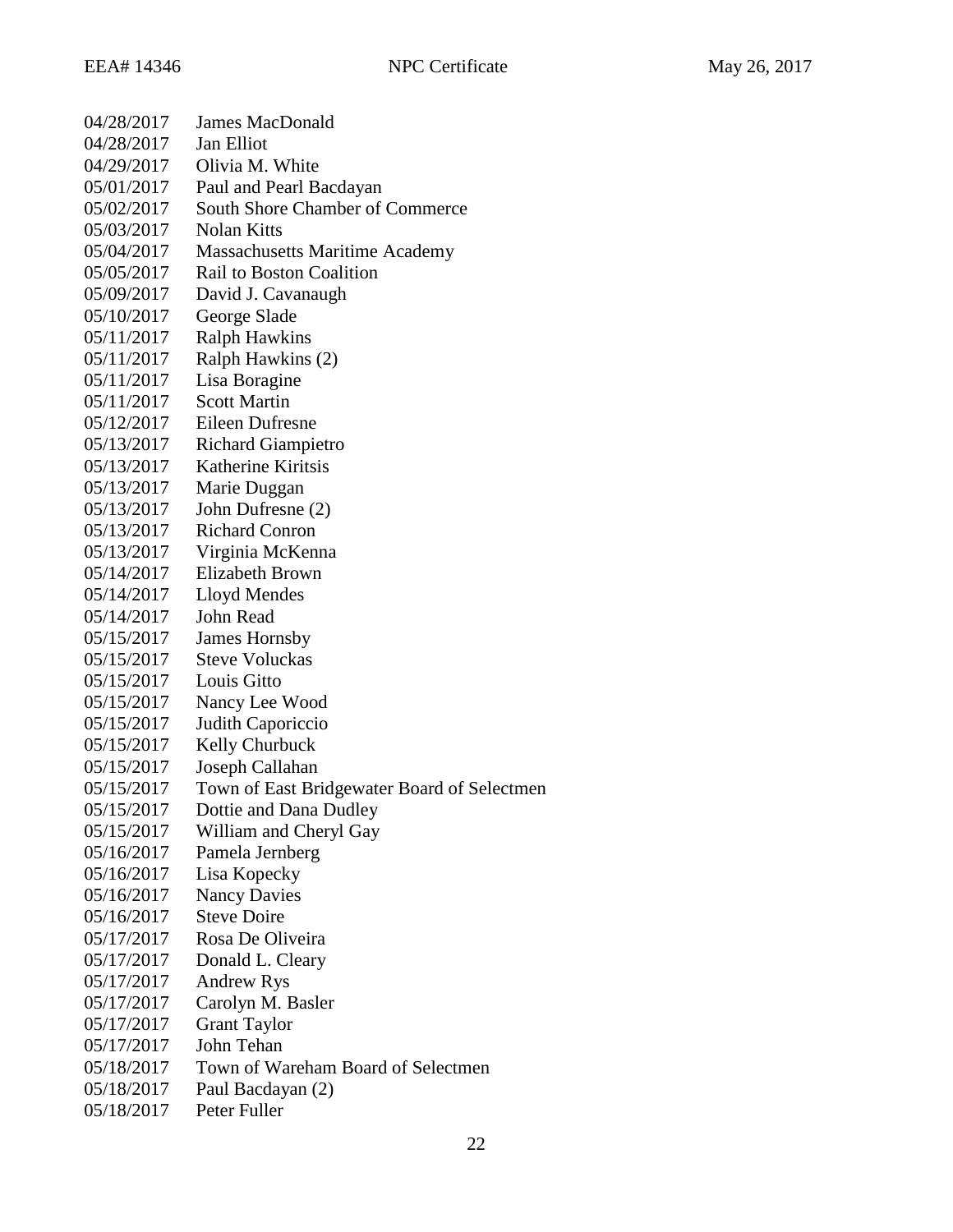| 04/28/2017 | <b>James MacDonald</b>                      |
|------------|---------------------------------------------|
| 04/28/2017 | <b>Jan Elliot</b>                           |
| 04/29/2017 | Olivia M. White                             |
| 05/01/2017 | Paul and Pearl Bacdayan                     |
| 05/02/2017 | South Shore Chamber of Commerce             |
| 05/03/2017 | <b>Nolan Kitts</b>                          |
| 05/04/2017 | <b>Massachusetts Maritime Academy</b>       |
| 05/05/2017 | <b>Rail to Boston Coalition</b>             |
| 05/09/2017 | David J. Cavanaugh                          |
| 05/10/2017 | George Slade                                |
| 05/11/2017 | <b>Ralph Hawkins</b>                        |
| 05/11/2017 | Ralph Hawkins (2)                           |
| 05/11/2017 | Lisa Boragine                               |
| 05/11/2017 | <b>Scott Martin</b>                         |
| 05/12/2017 | Eileen Dufresne                             |
| 05/13/2017 | <b>Richard Giampietro</b>                   |
| 05/13/2017 | Katherine Kiritsis                          |
| 05/13/2017 | Marie Duggan                                |
| 05/13/2017 | John Dufresne (2)                           |
| 05/13/2017 | <b>Richard Conron</b>                       |
| 05/13/2017 | Virginia McKenna                            |
| 05/14/2017 | Elizabeth Brown                             |
| 05/14/2017 | Lloyd Mendes                                |
| 05/14/2017 | <b>John Read</b>                            |
| 05/15/2017 | <b>James Hornsby</b>                        |
| 05/15/2017 | <b>Steve Voluckas</b>                       |
| 05/15/2017 | Louis Gitto                                 |
| 05/15/2017 | Nancy Lee Wood                              |
| 05/15/2017 | Judith Caporiccio                           |
| 05/15/2017 | Kelly Churbuck                              |
| 05/15/2017 | Joseph Callahan                             |
| 05/15/2017 | Town of East Bridgewater Board of Selectmen |
| 05/15/2017 | Dottie and Dana Dudley                      |
| 05/15/2017 | William and Cheryl Gay                      |
| 05/16/2017 | Pamela Jernberg                             |
| 05/16/2017 | Lisa Kopecky                                |
| 05/16/2017 | <b>Nancy Davies</b>                         |
| 05/16/2017 | <b>Steve Doire</b>                          |
| 05/17/2017 | Rosa De Oliveira                            |
| 05/17/2017 | Donald L. Cleary                            |
| 05/17/2017 | <b>Andrew Rys</b>                           |
| 05/17/2017 | Carolyn M. Basler                           |
| 05/17/2017 | <b>Grant Taylor</b>                         |
| 05/17/2017 | John Tehan                                  |
| 05/18/2017 | Town of Wareham Board of Selectmen          |
| 05/18/2017 | Paul Bacdayan (2)                           |
| 05/18/2017 | Peter Fuller                                |

22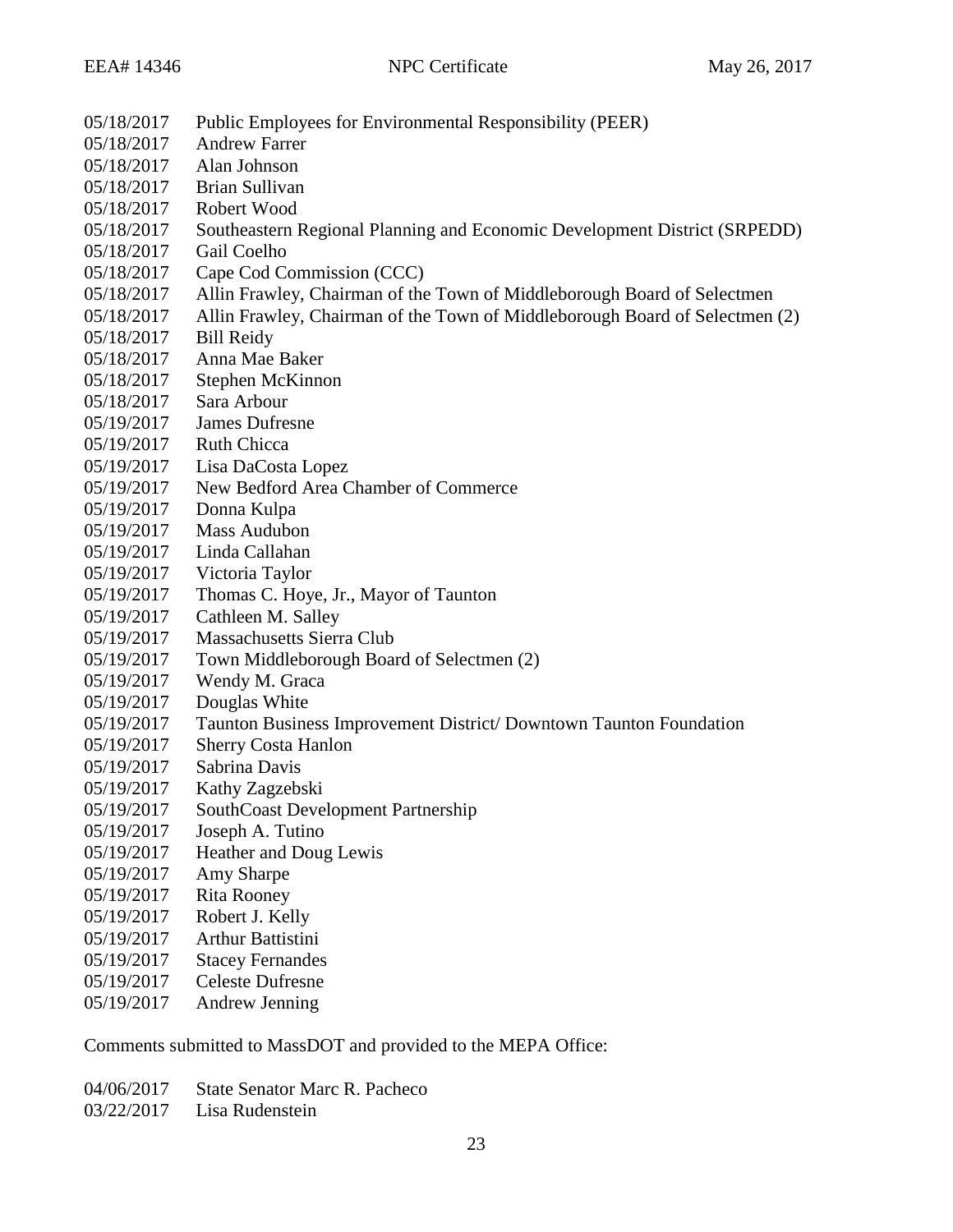05/18/2017 Public Employees for Environmental Responsibility (PEER) 05/18/2017 Andrew Farrer 05/18/2017 Alan Johnson 05/18/2017 Brian Sullivan 05/18/2017 Robert Wood 05/18/2017 Southeastern Regional Planning and Economic Development District (SRPEDD) 05/18/2017 Gail Coelho 05/18/2017 Cape Cod Commission (CCC) 05/18/2017 Allin Frawley, Chairman of the Town of Middleborough Board of Selectmen 05/18/2017 Allin Frawley, Chairman of the Town of Middleborough Board of Selectmen (2) 05/18/2017 Bill Reidy 05/18/2017 Anna Mae Baker 05/18/2017 Stephen McKinnon 05/18/2017 Sara Arbour 05/19/2017 James Dufresne 05/19/2017 Ruth Chicca 05/19/2017 Lisa DaCosta Lopez 05/19/2017 New Bedford Area Chamber of Commerce 05/19/2017 Donna Kulpa 05/19/2017 Mass Audubon 05/19/2017 Linda Callahan 05/19/2017 Victoria Taylor 05/19/2017 Thomas C. Hoye, Jr., Mayor of Taunton 05/19/2017 Cathleen M. Salley 05/19/2017 Massachusetts Sierra Club 05/19/2017 Town Middleborough Board of Selectmen (2) 05/19/2017 Wendy M. Graca 05/19/2017 Douglas White 05/19/2017 Taunton Business Improvement District/ Downtown Taunton Foundation 05/19/2017 Sherry Costa Hanlon 05/19/2017 Sabrina Davis 05/19/2017 Kathy Zagzebski 05/19/2017 SouthCoast Development Partnership 05/19/2017 Joseph A. Tutino 05/19/2017 Heather and Doug Lewis 05/19/2017 Amy Sharpe 05/19/2017 Rita Rooney 05/19/2017 Robert J. Kelly 05/19/2017 Arthur Battistini 05/19/2017 Stacey Fernandes 05/19/2017 Celeste Dufresne 05/19/2017 Andrew Jenning

Comments submitted to MassDOT and provided to the MEPA Office:

- 04/06/2017 State Senator Marc R. Pacheco
- 03/22/2017 Lisa Rudenstein